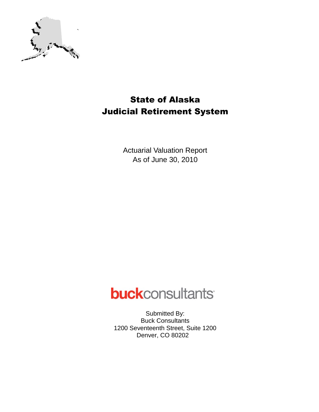

## State of Alaska Judicial Retirement System

Actuarial Valuation Report As of June 30, 2010

# **buck**consultants

Submitted By: Buck Consultants 1200 Seventeenth Street, Suite 1200 Denver, CO 80202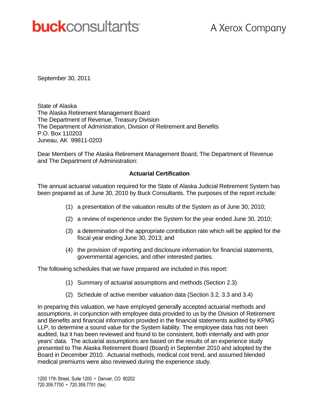# **buck**consultants

September 30, 2011

State of Alaska The Alaska Retirement Management Board The Department of Revenue, Treasury Division The Department of Administration, Division of Retirement and Benefits P.O. Box 110203 Juneau, AK 99811-0203

Dear Members of The Alaska Retirement Management Board, The Department of Revenue and The Department of Administration:

#### **Actuarial Certification**

The annual actuarial valuation required for the State of Alaska Judicial Retirement System has been prepared as of June 30, 2010 by Buck Consultants. The purposes of the report include:

- (1) a presentation of the valuation results of the System as of June 30, 2010;
- (2) a review of experience under the System for the year ended June 30, 2010;
- (3) a determination of the appropriate contribution rate which will be applied for the fiscal year ending June 30, 2013; and
- (4) the provision of reporting and disclosure information for financial statements, governmental agencies, and other interested parties.

The following schedules that we have prepared are included in this report:

- (1) Summary of actuarial assumptions and methods (Section 2.3)
- (2) Schedule of active member valuation data (Section 3.2, 3.3 and 3.4)

In preparing this valuation, we have employed generally accepted actuarial methods and assumptions, in conjunction with employee data provided to us by the Division of Retirement and Benefits and financial information provided in the financial statements audited by KPMG LLP, to determine a sound value for the System liability. The employee data has not been audited, but it has been reviewed and found to be consistent, both internally and with prior years' data. The actuarial assumptions are based on the results of an experience study presented to The Alaska Retirement Board (Board) in September 2010 and adopted by the Board in December 2010. Actuarial methods, medical cost trend, and assumed blended medical premiums were also reviewed during the experience study.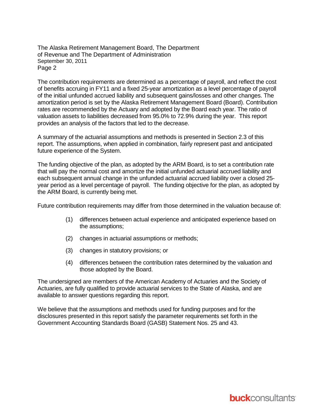The Alaska Retirement Management Board, The Department of Revenue and The Department of Administration September 30, 2011 Page 2

The contribution requirements are determined as a percentage of payroll, and reflect the cost of benefits accruing in FY11 and a fixed 25-year amortization as a level percentage of payroll of the initial unfunded accrued liability and subsequent gains/losses and other changes. The amortization period is set by the Alaska Retirement Management Board (Board). Contribution rates are recommended by the Actuary and adopted by the Board each year. The ratio of valuation assets to liabilities decreased from 95.0% to 72.9% during the year. This report provides an analysis of the factors that led to the decrease.

A summary of the actuarial assumptions and methods is presented in Section 2.3 of this report. The assumptions, when applied in combination, fairly represent past and anticipated future experience of the System.

The funding objective of the plan, as adopted by the ARM Board, is to set a contribution rate that will pay the normal cost and amortize the initial unfunded actuarial accrued liability and each subsequent annual change in the unfunded actuarial accrued liability over a closed 25 year period as a level percentage of payroll. The funding objective for the plan, as adopted by the ARM Board, is currently being met.

Future contribution requirements may differ from those determined in the valuation because of:

- (1) differences between actual experience and anticipated experience based on the assumptions;
- (2) changes in actuarial assumptions or methods;
- (3) changes in statutory provisions; or
- (4) differences between the contribution rates determined by the valuation and those adopted by the Board.

The undersigned are members of the American Academy of Actuaries and the Society of Actuaries, are fully qualified to provide actuarial services to the State of Alaska, and are available to answer questions regarding this report.

We believe that the assumptions and methods used for funding purposes and for the disclosures presented in this report satisfy the parameter requirements set forth in the Government Accounting Standards Board (GASB) Statement Nos. 25 and 43.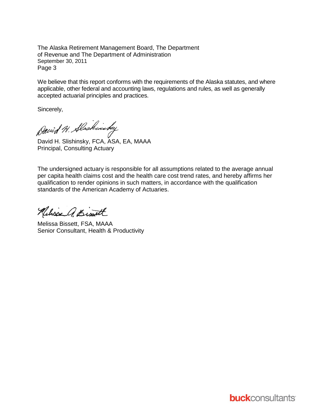The Alaska Retirement Management Board, The Department of Revenue and The Department of Administration September 30, 2011 Page 3

We believe that this report conforms with the requirements of the Alaska statutes, and where applicable, other federal and accounting laws, regulations and rules, as well as generally accepted actuarial principles and practices.

Sincerely,

David H. Alaskinsky

David H. Slishinsky, FCA, ASA, EA, MAAA Principal, Consulting Actuary

The undersigned actuary is responsible for all assumptions related to the average annual per capita health claims cost and the health care cost trend rates, and hereby affirms her qualification to render opinions in such matters, in accordance with the qualification standards of the American Academy of Actuaries.

Nelsie a. Bist

Melissa Bissett, FSA, MAAA Senior Consultant, Health & Productivity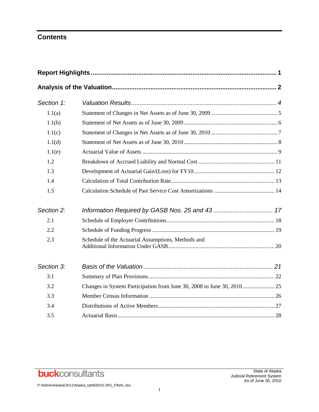## **Contents**

| Section 1: |                                                    |  |
|------------|----------------------------------------------------|--|
| 1.1(a)     |                                                    |  |
| 1.1(b)     |                                                    |  |
| 1.1(c)     |                                                    |  |
| 1.1(d)     |                                                    |  |
| 1.1(e)     |                                                    |  |
| 1.2        |                                                    |  |
| 1.3        |                                                    |  |
| 1.4        |                                                    |  |
| 1.5        |                                                    |  |
| Section 2: |                                                    |  |
| 2.1        |                                                    |  |
| 2.2        |                                                    |  |
| 2.3        | Schedule of the Actuarial Assumptions, Methods and |  |
| Section 3: |                                                    |  |
| 3.1        |                                                    |  |
| 3.2        |                                                    |  |
| 3.3        |                                                    |  |
| 3.4        |                                                    |  |
| 3.5        |                                                    |  |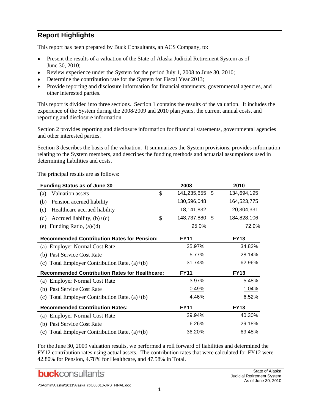## **Report Highlights**

This report has been prepared by Buck Consultants, an ACS Company, to:

- Present the results of a valuation of the State of Alaska Judicial Retirement System as of  $\bullet$ June 30, 2010;
- Review experience under the System for the period July 1, 2008 to June 30, 2010;  $\bullet$
- Determine the contribution rate for the System for Fiscal Year 2013;
- Provide reporting and disclosure information for financial statements, governmental agencies, and other interested parties.

This report is divided into three sections. Section 1 contains the results of the valuation. It includes the experience of the System during the 2008/2009 and 2010 plan years, the current annual costs, and reporting and disclosure information.

Section 2 provides reporting and disclosure information for financial statements, governmental agencies and other interested parties.

Section 3 describes the basis of the valuation. It summarizes the System provisions, provides information relating to the System members, and describes the funding methods and actuarial assumptions used in determining liabilities and costs.

The principal results are as follows:

| <b>Funding Status as of June 30</b>                   |               | 2008           |      | 2010        |
|-------------------------------------------------------|---------------|----------------|------|-------------|
| Valuation assets<br>(a)                               | $\mathcal{S}$ | 141,235,655 \$ |      | 134,694,195 |
| Pension accrued liability<br>(b)                      |               | 130,596,048    |      | 164,523,775 |
| Healthcare accrued liability<br>(c)                   |               | 18,141,832     |      | 20,304,331  |
| Accrued liability, $(b)+(c)$<br>(d)                   | \$            | 148,737,880    | - \$ | 184,828,106 |
| Funding Ratio, $(a)/(d)$<br>(e)                       |               | 95.0%          |      | 72.9%       |
| <b>Recommended Contribution Rates for Pension:</b>    |               | <b>FY11</b>    |      | <b>FY13</b> |
| (a) Employer Normal Cost Rate                         |               | 25.97%         |      | 34.82%      |
| (b) Past Service Cost Rate                            |               | 5.77%          |      | 28.14%      |
| (c) Total Employer Contribution Rate, $(a)+(b)$       |               | 31.74%         |      | 62.96%      |
| <b>Recommended Contribution Rates for Healthcare:</b> |               | <b>FY11</b>    |      | <b>FY13</b> |
| (a) Employer Normal Cost Rate                         |               | 3.97%          |      | 5.48%       |
| (b) Past Service Cost Rate                            |               | 0.49%          |      | 1.04%       |
| (c) Total Employer Contribution Rate, $(a)+(b)$       |               | 4.46%          |      | 6.52%       |
| <b>Recommended Contribution Rates:</b>                |               | <b>FY11</b>    |      | <b>FY13</b> |
| (a) Employer Normal Cost Rate                         |               | 29.94%         |      | 40.30%      |
| (b) Past Service Cost Rate                            |               | 6.26%          |      | 29.18%      |
| (c) Total Employer Contribution Rate, $(a)+(b)$       |               | 36.20%         |      | 69.48%      |

For the June 30, 2009 valuation results, we performed a roll forward of liabilities and determined the FY12 contribution rates using actual assets. The contribution rates that were calculated for FY12 were 42.80% for Pension, 4.78% for Healthcare, and 47.58% in Total.

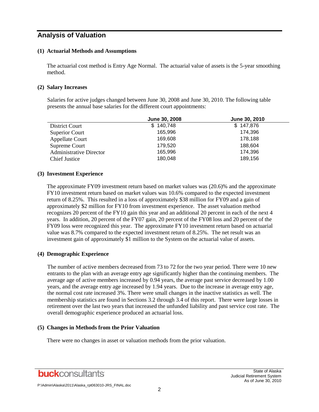## **Analysis of Valuation**

#### **(1) Actuarial Methods and Assumptions**

The actuarial cost method is Entry Age Normal. The actuarial value of assets is the 5-year smoothing method.

#### **(2) Salary Increases**

Salaries for active judges changed between June 30, 2008 and June 30, 2010. The following table presents the annual base salaries for the different court appointments:

|                                | June 30, 2008 | June 30, 2010 |
|--------------------------------|---------------|---------------|
| District Court                 | \$140,748     | \$147,876     |
| Superior Court                 | 165.996       | 174.396       |
| Appellate Court                | 169,608       | 178,188       |
| Supreme Court                  | 179,520       | 188,604       |
| <b>Administrative Director</b> | 165,996       | 174,396       |
| <b>Chief Justice</b>           | 180,048       | 189,156       |

#### **(3) Investment Experience**

The approximate FY09 investment return based on market values was (20.6)% and the approximate FY10 investment return based on market values was 10.6% compared to the expected investment return of 8.25%. This resulted in a loss of approximately \$38 million for FY09 and a gain of approximately \$2 million for FY10 from investment experience. The asset valuation method recognizes 20 percent of the FY10 gain this year and an additional 20 percent in each of the next 4 years. In addition, 20 percent of the FY07 gain, 20 percent of the FY08 loss and 20 percent of the FY09 loss were recognized this year. The approximate FY10 investment return based on actuarial value was 8.7% compared to the expected investment return of 8.25%. The net result was an investment gain of approximately \$1 million to the System on the actuarial value of assets.

#### **(4) Demographic Experience**

The number of active members decreased from 73 to 72 for the two year period. There were 10 new entrants to the plan with an average entry age significantly higher than the continuing members. The average age of active members increased by 0.94 years, the average past service decreased by 1.00 years, and the average entry age increased by 1.94 years. Due to the increase in average entry age, the normal cost rate increased 3%. There were small changes in the inactive statistics as well. The membership statistics are found in Sections 3.2 through 3.4 of this report. There were large losses in retirement over the last two years that increased the unfunded liability and past service cost rate. The overall demographic experience produced an actuarial loss.

#### **(5) Changes in Methods from the Prior Valuation**

There were no changes in asset or valuation methods from the prior valuation.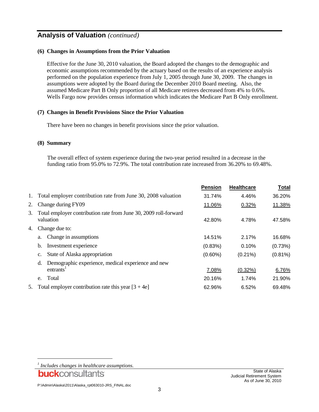## **Analysis of Valuation** *(continued)*

#### **(6) Changes in Assumptions from the Prior Valuation**

Effective for the June 30, 2010 valuation, the Board adopted the changes to the demographic and economic assumptions recommended by the actuary based on the results of an experience analysis performed on the population experience from July 1, 2005 through June 30, 2009. The changes in assumptions were adopted by the Board during the December 2010 Board meeting. Also, the assumed Medicare Part B Only proportion of all Medicare retirees decreased from 4% to 0.6%. Wells Fargo now provides census information which indicates the Medicare Part B Only enrollment.

#### **(7) Changes in Benefit Provisions Since the Prior Valuation**

There have been no changes in benefit provisions since the prior valuation.

#### **(8) Summary**

The overall effect of system experience during the two-year period resulted in a decrease in the funding ratio from 95.0% to 72.9%. The total contribution rate increased from 36.20% to 69.48%.

|    |                                                                                   | <b>Pension</b> | <b>Healthcare</b> | <b>Total</b> |
|----|-----------------------------------------------------------------------------------|----------------|-------------------|--------------|
| 1. | Total employer contribution rate from June 30, 2008 valuation                     | 31.74%         | 4.46%             | 36.20%       |
| 2. | Change during FY09                                                                | 11.06%         | 0.32%             | 11.38%       |
| 3. | Total employer contribution rate from June 30, 2009 roll-forward<br>valuation     | 42.80%         | 4.78%             | 47.58%       |
| 4. | Change due to:                                                                    |                |                   |              |
|    | Change in assumptions<br>a.                                                       | 14.51%         | 2.17%             | 16.68%       |
|    | Investment experience<br>b.                                                       | (0.83%)        | 0.10%             | (0.73%)      |
|    | State of Alaska appropriation<br>$\mathbf{c}$ .                                   | $(0.60\%)$     | $(0.21\%)$        | $(0.81\%)$   |
|    | Demographic experience, medical experience and new<br>d.<br>entrants <sup>1</sup> | 7.08%          | (0.32%)           | 6.76%        |
|    | Total<br>e.                                                                       | 20.16%         | 1.74%             | 21.90%       |
| 5. | Total employer contribution rate this year $[3 + 4e]$                             | 62.96%         | 6.52%             | 69.48%       |

buckconsultants

*<sup>1</sup> Includes changes in healthcare assumptions.*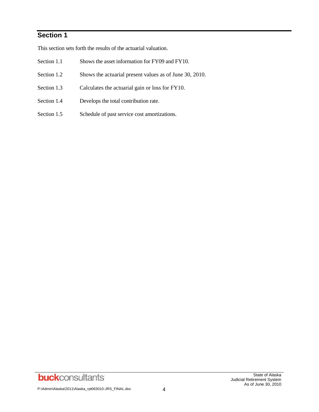## **Section 1**

This section sets forth the results of the actuarial valuation.

- Section 1.1 Shows the asset information for FY09 and FY10.
- Section 1.2 Shows the actuarial present values as of June 30, 2010.
- Section 1.3 Calculates the actuarial gain or loss for FY10.
- Section 1.4 Develops the total contribution rate.
- Section 1.5 Schedule of past service cost amortizations.

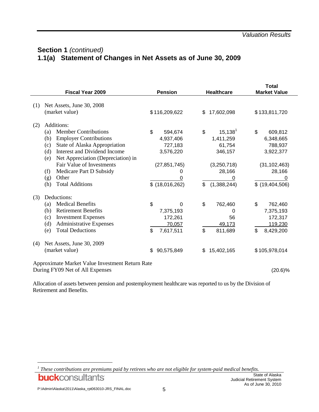## **Section 1** *(continued)* **1.1(a) Statement of Changes in Net Assets as of June 30, 2009**

|     | <b>Fiscal Year 2009</b>                         | <b>Pension</b>   | <b>Healthcare</b> | <b>Total</b><br><b>Market Value</b> |
|-----|-------------------------------------------------|------------------|-------------------|-------------------------------------|
| (1) | Net Assets, June 30, 2008                       |                  |                   |                                     |
|     | (market value)                                  | \$116,209,622    | 17,602,098<br>\$  | \$133,811,720                       |
| (2) | Additions:                                      |                  |                   |                                     |
|     | <b>Member Contributions</b><br>(a)              | \$<br>594,674    | $15, 138^1$<br>\$ | \$<br>609,812                       |
|     | <b>Employer Contributions</b><br>(b)            | 4,937,406        | 1,411,259         | 6,348,665                           |
|     | (c)<br>State of Alaska Appropriation            | 727,183          | 61,754            | 788,937                             |
|     | Interest and Dividend Income<br>(d)             | 3,576,220        | 346,157           | 3,922,377                           |
|     | Net Appreciation (Depreciation) in<br>(e)       |                  |                   |                                     |
|     | Fair Value of Investments                       | (27, 851, 745)   | (3,250,718)       | (31, 102, 463)                      |
|     | Medicare Part D Subsidy<br>(f)                  | 0                | 28,166            | 28,166                              |
|     | Other<br>(g)                                    | 0                | 0                 |                                     |
|     | <b>Total Additions</b><br>(h)                   | $$$ (18,016,262) | \$<br>(1,388,244) | $$$ (19,404,506)                    |
| (3) | Deductions:                                     |                  |                   |                                     |
|     | <b>Medical Benefits</b><br>(a)                  | \$<br>0          | \$<br>762,460     | \$<br>762,460                       |
|     | <b>Retirement Benefits</b><br>(b)               | 7,375,193        | 0                 | 7,375,193                           |
|     | <b>Investment Expenses</b><br>(c)               | 172,261          | 56                | 172,317                             |
|     | <b>Administrative Expenses</b><br>(d)           | 70,057           | 49,173            | 119,230                             |
|     | <b>Total Deductions</b><br>(e)                  | \$<br>7,617,511  | \$<br>811,689     | \$<br>8,429,200                     |
| (4) | Net Assets, June 30, 2009                       |                  |                   |                                     |
|     | (market value)                                  | \$<br>90,575,849 | 15,402,165<br>S   | \$105,978,014                       |
|     | Approximate Market Value Investment Return Rate |                  |                   |                                     |
|     | During FY09 Net of All Expenses                 |                  |                   | $(20.6)\%$                          |

Allocation of assets between pension and postemployment healthcare was reported to us by the Division of Retirement and Benefits.

*1 These contributions are premiums paid by retirees who are not eligible for system-paid medical benefits.***buck**consultants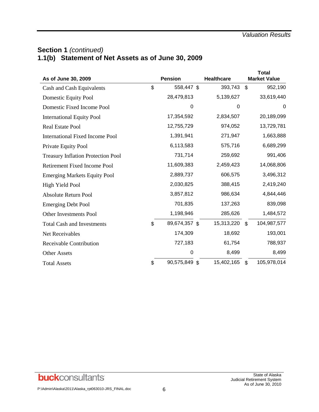## **Section 1** *(continued)* **1.1(b) Statement of Net Assets as of June 30, 2009**

| As of June 30, 2009                       | <b>Pension</b>      | <b>Healthcare</b> |                | <b>Total</b><br><b>Market Value</b> |
|-------------------------------------------|---------------------|-------------------|----------------|-------------------------------------|
| Cash and Cash Equivalents                 | \$<br>558,447 \$    | 393,743           | \$             | 952,190                             |
| Domestic Equity Pool                      | 28,479,813          | 5,139,627         |                | 33,619,440                          |
| Domestic Fixed Income Pool                | 0                   | 0                 |                | 0                                   |
| <b>International Equity Pool</b>          | 17,354,592          | 2,834,507         |                | 20,189,099                          |
| Real Estate Pool                          | 12,755,729          | 974,052           |                | 13,729,781                          |
| <b>International Fixed Income Pool</b>    | 1,391,941           | 271,947           |                | 1,663,888                           |
| Private Equity Pool                       | 6,113,583           | 575,716           |                | 6,689,299                           |
| <b>Treasury Inflation Protection Pool</b> | 731,714             | 259,692           |                | 991,406                             |
| Retirement Fixed Income Pool              | 11,609,383          | 2,459,423         |                | 14,068,806                          |
| <b>Emerging Markets Equity Pool</b>       | 2,889,737           | 606,575           |                | 3,496,312                           |
| High Yield Pool                           | 2,030,825           | 388,415           |                | 2,419,240                           |
| <b>Absolute Return Pool</b>               | 3,857,812           | 986,634           |                | 4,844,446                           |
| <b>Emerging Debt Pool</b>                 | 701,835             | 137,263           |                | 839,098                             |
| Other Investments Pool                    | 1,198,946           | 285,626           |                | 1,484,572                           |
| <b>Total Cash and Investments</b>         | \$<br>89,674,357 \$ | 15,313,220        | $\mathfrak{L}$ | 104,987,577                         |
| Net Receivables                           | 174,309             | 18,692            |                | 193,001                             |
| Receivable Contribution                   | 727,183             | 61,754            |                | 788,937                             |
| <b>Other Assets</b>                       | 0                   | 8,499             |                | 8,499                               |
| <b>Total Assets</b>                       | \$<br>90,575,849 \$ | 15,402,165        | \$             | 105,978,014                         |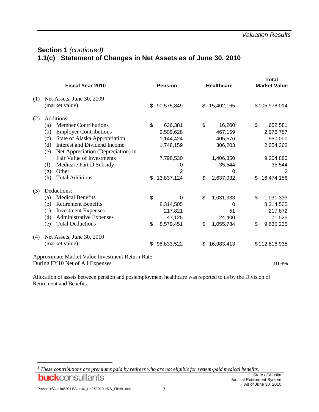## **Section 1** *(continued)* **1.1(c) Statement of Changes in Net Assets as of June 30, 2010**

|                                                                                             |                                                                                                                                                                                                                                                                                                                               |          |                                                                                                  |          |                                                                                 | <b>Total</b>                                                                                    |  |
|---------------------------------------------------------------------------------------------|-------------------------------------------------------------------------------------------------------------------------------------------------------------------------------------------------------------------------------------------------------------------------------------------------------------------------------|----------|--------------------------------------------------------------------------------------------------|----------|---------------------------------------------------------------------------------|-------------------------------------------------------------------------------------------------|--|
|                                                                                             | Fiscal Year 2010                                                                                                                                                                                                                                                                                                              |          | <b>Pension</b>                                                                                   |          | <b>Healthcare</b>                                                               | <b>Market Value</b>                                                                             |  |
| (1)                                                                                         | Net Assets, June 30, 2009<br>(market value)                                                                                                                                                                                                                                                                                   | \$       | 90,575,849                                                                                       | \$       | 15,402,165                                                                      | \$105,978,014                                                                                   |  |
| (2)                                                                                         | Additions:                                                                                                                                                                                                                                                                                                                    |          |                                                                                                  |          |                                                                                 |                                                                                                 |  |
|                                                                                             | <b>Member Contributions</b><br>(a)<br><b>Employer Contributions</b><br>(b)<br>State of Alaska Appropriation<br>(c)<br>Interest and Dividend Income<br>(d)<br>Net Appreciation (Depreciation) in<br>(e)<br><b>Fair Value of Investments</b><br>Medicare Part D Subsidy<br>(f)<br>Other<br>(g)<br><b>Total Additions</b><br>(h) | \$<br>\$ | 636,381<br>2,509,628<br>1,144,424<br>1,748,159<br>7,798,530<br>0<br>$\overline{2}$<br>13,837,124 | \$<br>\$ | $16,200^1$<br>467,159<br>405,576<br>306,203<br>1,406,350<br>35,544<br>2,637,032 | \$<br>652,581<br>2,976,787<br>1,550,000<br>2,054,362<br>9,204,880<br>35,544<br>16,474,156<br>\$ |  |
| (3)                                                                                         | Deductions:                                                                                                                                                                                                                                                                                                                   |          |                                                                                                  |          |                                                                                 |                                                                                                 |  |
|                                                                                             | <b>Medical Benefits</b><br>(a)<br><b>Retirement Benefits</b><br>(b)<br><b>Investment Expenses</b><br>(c)<br>(d)<br><b>Administrative Expenses</b><br><b>Total Deductions</b><br>(e)                                                                                                                                           | \$<br>\$ | 0<br>8,314,505<br>217,821<br>47,125<br>8,579,451                                                 | \$<br>\$ | 1,031,333<br>0<br>51<br>24,400<br>1,055,784                                     | \$<br>1,031,333<br>8,314,505<br>217,872<br>71,525<br>\$<br>9,635,235                            |  |
| (4)                                                                                         | Net Assets, June 30, 2010<br>(market value)                                                                                                                                                                                                                                                                                   | \$       | 95,833,522                                                                                       | \$       | 16,983,413                                                                      | \$112,816,935                                                                                   |  |
| Approximate Market Value Investment Return Rate<br>During FY10 Net of All Expenses<br>10.6% |                                                                                                                                                                                                                                                                                                                               |          |                                                                                                  |          |                                                                                 |                                                                                                 |  |

Allocation of assets between pension and postemployment healthcare was reported to us by the Division of Retirement and Benefits.

*1 These contributions are premiums paid by retirees who are not eligible for system-paid medical benefits.***buck**consultants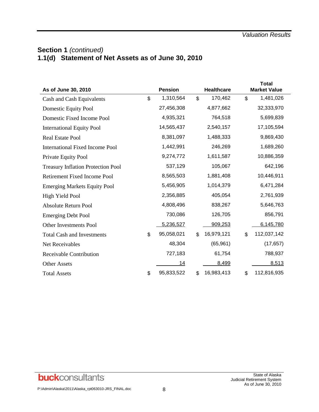## **Section 1** *(continued)* **1.1(d) Statement of Net Assets as of June 30, 2010**

| As of June 30, 2010                       | <b>Pension</b>   |                | <b>Healthcare</b> | <b>Total</b><br><b>Market Value</b> |
|-------------------------------------------|------------------|----------------|-------------------|-------------------------------------|
| Cash and Cash Equivalents                 | \$<br>1,310,564  | $\mathfrak{L}$ | 170,462           | \$<br>1,481,026                     |
| Domestic Equity Pool                      | 27,456,308       |                | 4,877,662         | 32,333,970                          |
| Domestic Fixed Income Pool                | 4,935,321        |                | 764,518           | 5,699,839                           |
| <b>International Equity Pool</b>          | 14,565,437       |                | 2,540,157         | 17,105,594                          |
| Real Estate Pool                          | 8,381,097        |                | 1,488,333         | 9,869,430                           |
| <b>International Fixed Income Pool</b>    | 1,442,991        |                | 246,269           | 1,689,260                           |
| Private Equity Pool                       | 9,274,772        |                | 1,611,587         | 10,886,359                          |
| <b>Treasury Inflation Protection Pool</b> | 537,129          |                | 105,067           | 642,196                             |
| <b>Retirement Fixed Income Pool</b>       | 8,565,503        |                | 1,881,408         | 10,446,911                          |
| <b>Emerging Markets Equity Pool</b>       | 5,456,905        |                | 1,014,379         | 6,471,284                           |
| High Yield Pool                           | 2,356,885        |                | 405,054           | 2,761,939                           |
| <b>Absolute Return Pool</b>               | 4,808,496        |                | 838,267           | 5,646,763                           |
| <b>Emerging Debt Pool</b>                 | 730,086          |                | 126,705           | 856,791                             |
| <b>Other Investments Pool</b>             | 5,236,527        |                | 909,253           | 6,145,780                           |
| <b>Total Cash and Investments</b>         | \$<br>95,058,021 | \$             | 16,979,121        | \$<br>112,037,142                   |
| Net Receivables                           | 48,304           |                | (65, 961)         | (17, 657)                           |
| Receivable Contribution                   | 727,183          |                | 61,754            | 788,937                             |
| <b>Other Assets</b>                       | 14               |                | 8,499             | 8,513                               |
| <b>Total Assets</b>                       | \$<br>95,833,522 | \$             | 16,983,413        | \$<br>112,816,935                   |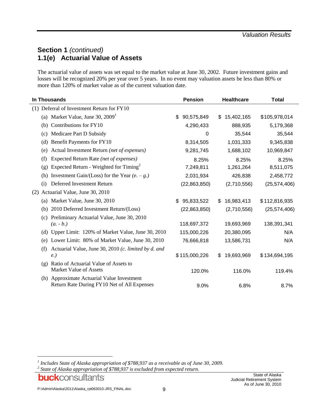## **Section 1** *(continued)* **1.1(e) Actuarial Value of Assets**

The actuarial value of assets was set equal to the market value at June 30, 2002. Future investment gains and losses will be recognized 20% per year over 5 years. In no event may valuation assets be less than 80% or more than 120% of market value as of the current valuation date.

| In Thousands                                                                                       | <b>Pension</b>   | <b>Healthcare</b> | Total          |
|----------------------------------------------------------------------------------------------------|------------------|-------------------|----------------|
| (1) Deferral of Investment Return for FY10                                                         |                  |                   |                |
| (a) Market Value, June 30, $20091$                                                                 | 90,575,849<br>\$ | 15,402,165<br>\$  | \$105,978,014  |
| Contributions for FY10<br>(b)                                                                      | 4,290,433        | 888,935           | 5,179,368      |
| Medicare Part D Subsidy<br>(c)                                                                     | $\Omega$         | 35,544            | 35,544         |
| Benefit Payments for FY10<br>(d)                                                                   | 8,314,505        | 1,031,333         | 9,345,838      |
| Actual Investment Return (net of expenses)<br>(e)                                                  | 9,281,745        | 1,688,102         | 10,969,847     |
| Expected Return Rate (net of expenses)<br>(f)                                                      | 8.25%            | 8.25%             | 8.25%          |
| Expected Return - Weighted for $T$ iming <sup>2</sup><br>(g)                                       | 7,249,811        | 1,261,264         | 8,511,075      |
| Investment Gain/(Loss) for the Year $(e. - g.)$<br>(h)                                             | 2,031,934        | 426,838           | 2,458,772      |
| Deferred Investment Return<br>(i)                                                                  | (22,863,850)     | (2,710,556)       | (25, 574, 406) |
| Actuarial Value, June 30, 2010<br>(2)                                                              |                  |                   |                |
| Market Value, June 30, 2010<br>(a)                                                                 | 95,833,522<br>\$ | 16,983,413<br>\$. | \$112,816,935  |
| 2010 Deferred Investment Return/(Loss)<br>(b)                                                      | (22, 863, 850)   | (2,710,556)       | (25, 574, 406) |
| Preliminary Actuarial Value, June 30, 2010<br>(c)<br>$(a. - b.)$                                   | 118,697,372      | 19,693,969        | 138,391,341    |
| Upper Limit: 120% of Market Value, June 30, 2010<br>(d)                                            | 115,000,226      | 20,380,095        | N/A            |
| Lower Limit: 80% of Market Value, June 30, 2010<br>(e)                                             | 76,666,818       | 13,586,731        | N/A            |
| Actuarial Value, June 30, 2010 (c. limited by d. and<br>(f)<br>e)                                  | \$115,000,226    | 19,693,969<br>\$. | \$134,694,195  |
| Ratio of Actuarial Value of Assets to<br>$\left( \varrho \right)$<br><b>Market Value of Assets</b> | 120.0%           | 116.0%            | 119.4%         |
| (h) Approximate Actuarial Value Investment<br>Return Rate During FY10 Net of All Expenses          | 9.0%             | 6.8%              | 8.7%           |

*2 State of Alaska appropriation of \$788,937 is excluded from expected return.*

*<sup>1</sup> Includes State of Alaska appropriation of \$788,937 as a receivable as of June 30, 2009.*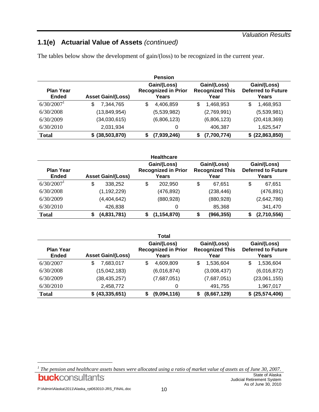#### *Valuation Results*

## **1.1(e) Actuarial Value of Assets** *(continued)*

The tables below show the development of gain/(loss) to be recognized in the current year.

|                                  |                          |    | <b>Pension</b>                                     |    |                                               |   |                                                   |
|----------------------------------|--------------------------|----|----------------------------------------------------|----|-----------------------------------------------|---|---------------------------------------------------|
| <b>Plan Year</b><br><b>Ended</b> | <b>Asset Gain/(Loss)</b> |    | Gain/(Loss)<br><b>Recognized in Prior</b><br>Years |    | Gain/(Loss)<br><b>Recognized This</b><br>Year |   | Gain/(Loss)<br><b>Deferred to Future</b><br>Years |
| $6/30/2007$ <sup>1</sup>         | 7,344,765<br>\$          | \$ | 4,406,859                                          | \$ | 1,468,953                                     | S | 1,468,953                                         |
| 6/30/2008                        | (13, 849, 954)           |    | (5,539,982)                                        |    | (2,769,991)                                   |   | (5,539,981)                                       |
| 6/30/2009                        | (34,030,615)             |    | (6,806,123)                                        |    | (6,806,123)                                   |   | (20, 418, 369)                                    |
| 6/30/2010                        | 2,031,934                |    | 0                                                  |    | 406,387                                       |   | 1,625,547                                         |
| <b>Total</b>                     | \$ (38,503,870)          | S  | (7,939,246)                                        | S  | (7,700,774)                                   |   | \$ (22,863,850)                                   |

|                                  |                          | <b>Healthcare</b>                                  |                                               |                                                   |
|----------------------------------|--------------------------|----------------------------------------------------|-----------------------------------------------|---------------------------------------------------|
| <b>Plan Year</b><br><b>Ended</b> | <b>Asset Gain/(Loss)</b> | Gain/(Loss)<br><b>Recognized in Prior</b><br>Years | Gain/(Loss)<br><b>Recognized This</b><br>Year | Gain/(Loss)<br><b>Deferred to Future</b><br>Years |
| $6/30/2007$ <sup>1</sup>         | \$<br>338.252            | \$<br>202.950                                      | \$<br>67.651                                  | \$<br>67,651                                      |
| 6/30/2008                        | (1, 192, 229)            | (476,892)                                          | (238, 446)                                    | (476, 891)                                        |
| 6/30/2009                        | (4,404,642)              | (880, 928)                                         | (880, 928)                                    | (2,642,786)                                       |
| 6/30/2010                        | 426,838                  | 0                                                  | 85,368                                        | 341,470                                           |
| <b>Total</b>                     | (4,831,781)              | (1, 154, 870)<br>\$                                | (966, 355)                                    | (2,710,556)                                       |

|                                  |                          | Total                                              |                                               |                                                   |
|----------------------------------|--------------------------|----------------------------------------------------|-----------------------------------------------|---------------------------------------------------|
| <b>Plan Year</b><br><b>Ended</b> | <b>Asset Gain/(Loss)</b> | Gain/(Loss)<br><b>Recognized in Prior</b><br>Years | Gain/(Loss)<br><b>Recognized This</b><br>Year | Gain/(Loss)<br><b>Deferred to Future</b><br>Years |
| 6/30/2007                        | 7,683,017<br>\$          | \$<br>4,609,809                                    | 1,536,604<br>S                                | 1,536,604<br>S                                    |
| 6/30/2008                        | (15,042,183)             | (6,016,874)                                        | (3,008,437)                                   | (6,016,872)                                       |
| 6/30/2009                        | (38, 435, 257)           | (7,687,051)                                        | (7,687,051)                                   | (23,061,155)                                      |
| 6/30/2010                        | 2,458,772                | 0                                                  | 491,755                                       | 1,967,017                                         |
| <b>Total</b>                     | \$ (43,335,651)          | (9,094,116)<br>S                                   | (8,667,129)                                   | \$ (25,574,406)                                   |

*<sup>1</sup> The pension and healthcare assets bases were allocated using a ratio of market value of assets as of June 30, 2007.*State of Alaska **buck**consultants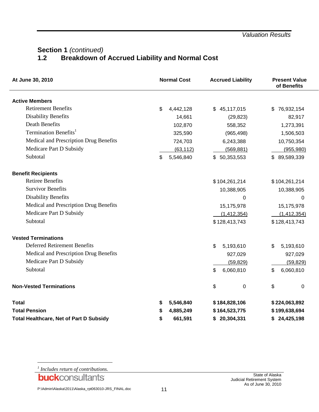## **Section 1** *(continued)*<br>1.2 **Breakdown of Breakdown of Accrued Liability and Normal Cost**

| At June 30, 2010                               | <b>Normal Cost</b> |               | <b>Accrued Liability</b> | <b>Present Value</b><br>of Benefits |
|------------------------------------------------|--------------------|---------------|--------------------------|-------------------------------------|
| <b>Active Members</b>                          |                    |               |                          |                                     |
| <b>Retirement Benefits</b>                     | \$<br>4,442,128    | \$            | 45,117,015               | \$<br>76,932,154                    |
| <b>Disability Benefits</b>                     | 14,661             |               | (29, 823)                | 82,917                              |
| <b>Death Benefits</b>                          | 102,870            |               | 558,352                  | 1,273,391                           |
| Termination Benefits <sup>1</sup>              | 325,590            |               | (965, 498)               | 1,506,503                           |
| Medical and Prescription Drug Benefits         | 724,703            |               | 6,243,388                | 10,750,354                          |
| Medicare Part D Subsidy                        | (63, 112)          |               | (569, 881)               | (955, 980)                          |
| Subtotal                                       | \$<br>5,546,840    | \$50,353,553  |                          | \$89,589,339                        |
| <b>Benefit Recipients</b>                      |                    |               |                          |                                     |
| <b>Retiree Benefits</b>                        |                    | \$104,261,214 |                          | \$104,261,214                       |
| <b>Survivor Benefits</b>                       |                    |               | 10,388,905               | 10,388,905                          |
| <b>Disability Benefits</b>                     |                    |               | $\Omega$                 | 0                                   |
| Medical and Prescription Drug Benefits         |                    |               | 15,175,978               | 15,175,978                          |
| Medicare Part D Subsidy                        |                    |               | (1, 412, 354)            | (1, 412, 354)                       |
| Subtotal                                       |                    | \$128,413,743 |                          | \$128,413,743                       |
| <b>Vested Terminations</b>                     |                    |               |                          |                                     |
| <b>Deferred Retirement Benefits</b>            |                    | \$            | 5,193,610                | \$<br>5,193,610                     |
| Medical and Prescription Drug Benefits         |                    |               | 927,029                  | 927,029                             |
| Medicare Part D Subsidy                        |                    |               | (59, 829)                | (59, 829)                           |
| Subtotal                                       |                    | \$            | 6,060,810                | \$<br>6,060,810                     |
| <b>Non-Vested Terminations</b>                 |                    | \$            | $\mathbf 0$              | \$<br>0                             |
| <b>Total</b>                                   | \$<br>5,546,840    | \$184,828,106 |                          | \$224,063,892                       |
| <b>Total Pension</b>                           | \$<br>4,885,249    | \$164,523,775 |                          | \$199,638,694                       |
| <b>Total Healthcare, Net of Part D Subsidy</b> | \$<br>661,591      | \$20,304,331  |                          | \$24,425,198                        |

*1 Includes return of contributions.*

l

**buck**consultants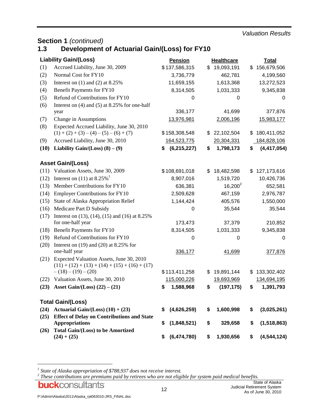#### *Valuation Results*

## **Section 1 (continued)**<br>**1.3 Development**

## **1.3 Development of Actuarial Gain/(Loss) for FY10**

|      | <b>Liability Gain/(Loss)</b>                                                                 | <b>Pension</b>      | <b>Healthcare</b> | <b>Total</b>        |
|------|----------------------------------------------------------------------------------------------|---------------------|-------------------|---------------------|
| (1)  | Accrued Liability, June 30, 2009                                                             | \$137,586,315       | \$<br>19,093,191  | \$<br>156,679,506   |
| (2)  | Normal Cost for FY10                                                                         | 3,736,779           | 462,781           | 4,199,560           |
| (3)  | Interest on $(1)$ and $(2)$ at 8.25%                                                         | 11,659,155          | 1,613,368         | 13,272,523          |
| (4)  | Benefit Payments for FY10                                                                    | 8,314,505           | 1,031,333         | 9,345,838           |
| (5)  | Refund of Contributions for FY10                                                             | 0                   | 0                 | 0                   |
| (6)  | Interest on $(4)$ and $(5)$ at 8.25% for one-half                                            |                     |                   |                     |
|      | year                                                                                         | 336,177             | 41,699            | 377,876             |
| (7)  | Change in Assumptions                                                                        | 13,976,981          | 2,006,196         | 15,983,177          |
| (8)  | Expected Accrued Liability, June 30, 2010                                                    |                     |                   |                     |
|      | $(1) + (2) + (3) - (4) - (5) - (6) + (7)$                                                    | \$158,308,548       | \$<br>22,102,504  | \$<br>180,411,052   |
| (9)  | Accrued Liability, June 30, 2010                                                             | 164,523,775         | 20,304,331        | 184,828,106         |
| (10) | Liability Gain/(Loss) $(8) - (9)$                                                            | \$<br>(6, 215, 227) | \$<br>1,798,173   | \$<br>(4, 417, 054) |
|      | <b>Asset Gain/(Loss)</b>                                                                     |                     |                   |                     |
| (11) | Valuation Assets, June 30, 2009                                                              | \$108,691,018       | \$<br>18,482,598  | \$<br>127, 173, 616 |
| (12) | Interest on (11) at $8.25\%$ <sup>1</sup>                                                    | 8,907,016           | 1,519,720         | 10,426,736          |
| (13) | Member Contributions for FY10                                                                | 636,381             | $16,200^2$        | 652,581             |
| (14) | <b>Employer Contributions for FY10</b>                                                       | 2,509,628           | 467,159           | 2,976,787           |
| (15) | State of Alaska Appropriation Relief                                                         | 1,144,424           | 405,576           | 1,550,000           |
| (16) | Medicare Part D Subsidy                                                                      | 0                   | 35,544            | 35,544              |
| (17) | Interest on $(13)$ , $(14)$ , $(15)$ and $(16)$ at 8.25%                                     |                     |                   |                     |
|      | for one-half year                                                                            | 173,473             | 37,379            | 210,852             |
| (18) | Benefit Payments for FY10                                                                    | 8,314,505           | 1,031,333         | 9,345,838           |
| (19) | Refund of Contributions for FY10                                                             | 0                   | 0                 | 0                   |
| (20) | Interest on $(19)$ and $(20)$ at 8.25% for                                                   |                     |                   |                     |
|      | one-half year                                                                                | 336,177             | 41,699            | 377,876             |
| (21) | Expected Valuation Assets, June 30, 2010<br>$(11) + (12) + (13) + (14) + (15) + (16) + (17)$ |                     |                   |                     |
|      | $-(18)-(19)-(20)$                                                                            | \$113,411,258       | \$<br>19,891,144  | \$<br>133,302,402   |
| (22) | Valuation Assets, June 30, 2010                                                              | 115,000,226         | 19,693,969        | 134,694,195         |
| (23) | Asset Gain/(Loss) $(22) - (21)$                                                              | \$<br>1,588,968     | \$<br>(197, 175)  | \$<br>1,391,793     |
|      | <b>Total Gain/(Loss)</b>                                                                     |                     |                   |                     |
| (24) | Actuarial Gain/(Loss) $(10) + (23)$                                                          | \$<br>(4,626,259)   | \$<br>1,600,998   | \$<br>(3,025,261)   |
| (25) | <b>Effect of Delay on Contributions and State</b>                                            |                     |                   |                     |
|      | <b>Appropriations</b>                                                                        | \$<br>(1,848,521)   | \$<br>329,658     | \$<br>(1,518,863)   |
| (26) | Total Gain/(Loss) to be Amortized<br>$(24) + (25)$                                           | \$<br>(6,474,780)   | \$<br>1,930,656   | \$<br>(4, 544, 124) |

*1 State of Alaska appropriation of \$788,937 does not receive interest. 2 These contributions are premiums paid by retirees who are not eligible for system paid medical benefits.*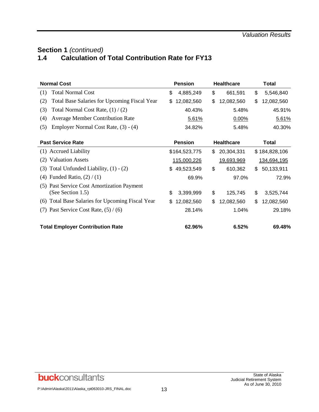## **Section 1** *(continued)* **1.4 Calculation of Total Contribution Rate for FY13**

| <b>Normal Cost</b>                                              | <b>Pension</b>   | <b>Healthcare</b> | Total            |  |  |
|-----------------------------------------------------------------|------------------|-------------------|------------------|--|--|
| <b>Total Normal Cost</b><br>(1)                                 | \$<br>4,885,249  | \$<br>661,591     | \$<br>5,546,840  |  |  |
| (2)<br><b>Total Base Salaries for Upcoming Fiscal Year</b>      | 12,082,560<br>\$ | \$<br>12,082,560  | \$<br>12,082,560 |  |  |
| (3)<br>Total Normal Cost Rate, $(1) / (2)$                      | 40.43%           | 5.48%             | 45.91%           |  |  |
| (4)<br><b>Average Member Contribution Rate</b>                  | 5.61%            | 0.00%             | 5.61%            |  |  |
| Employer Normal Cost Rate, (3) - (4)<br>(5)                     | 34.82%           | 5.48%             | 40.30%           |  |  |
| <b>Past Service Rate</b>                                        | <b>Pension</b>   | <b>Healthcare</b> | Total            |  |  |
| (1) Accrued Liability                                           | \$164,523,775    | \$<br>20,304,331  | \$184,828,106    |  |  |
| (2) Valuation Assets                                            | 115,000,226      | 19,693,969        | 134,694,195      |  |  |
| $(3)$ Total Unfunded Liability, $(1) - (2)$                     | \$49,523,549     | \$<br>610,362     | \$<br>50,133,911 |  |  |
| Funded Ratio, $(2) / (1)$<br>(4)                                | 69.9%            | 97.0%             | 72.9%            |  |  |
| (5) Past Service Cost Amortization Payment<br>(See Section 1.5) | \$<br>3,399,999  | \$<br>125,745     | \$<br>3,525,744  |  |  |
| (6) Total Base Salaries for Upcoming Fiscal Year                | 12,082,560<br>\$ | \$<br>12,082,560  | \$<br>12,082,560 |  |  |
| Past Service Cost Rate, $(5) / (6)$<br>(7)                      | 28.14%           | 1.04%             | 29.18%           |  |  |
| <b>Total Employer Contribution Rate</b>                         | 62.96%           | 6.52%             | 69.48%           |  |  |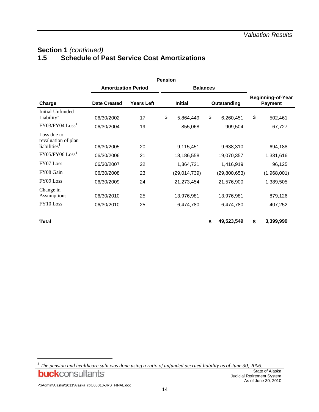## **Section 1** *(continued)*<br>1.5 **Schedule of P 1.5 Schedule of Past Service Cost Amortizations**

|                                                                   |                            |                   | <b>Pension</b> |                      |    |                      |                                            |
|-------------------------------------------------------------------|----------------------------|-------------------|----------------|----------------------|----|----------------------|--------------------------------------------|
|                                                                   | <b>Amortization Period</b> |                   |                | <b>Balances</b>      |    |                      |                                            |
| Charge                                                            | <b>Date Created</b>        | <b>Years Left</b> | <b>Initial</b> |                      |    | Outstanding          | <b>Beginning-of-Year</b><br><b>Payment</b> |
| Initial Unfunded<br>Liability <sup>1</sup><br>$FY03/FY04$ $Loss1$ | 06/30/2002<br>06/30/2004   | 17<br>19          | \$             | 5,864,449<br>855,068 | \$ | 6,260,451<br>909,504 | \$<br>502,461<br>67,727                    |
| Loss due to<br>revaluation of plan<br>liabilities <sup>1</sup>    | 06/30/2005                 | 20                |                | 9,115,451            |    | 9,638,310            | 694,188                                    |
| $FY05/FY06$ $Loss1$                                               | 06/30/2006                 | 21                |                | 18,186,558           |    | 19,070,357           | 1,331,616                                  |
| FY07 Loss                                                         | 06/30/2007                 | 22                |                | 1,364,721            |    | 1,416,919            | 96,125                                     |
| FY08 Gain                                                         | 06/30/2008                 | 23                |                | (29,014,739)         |    | (29,800,653)         | (1,968,001)                                |
| FY09 Loss                                                         | 06/30/2009                 | 24                |                | 21,273,454           |    | 21,576,900           | 1,389,505                                  |
| Change in<br>Assumptions                                          | 06/30/2010                 | 25                |                | 13,976,981           |    | 13,976,981           | 879,126                                    |
| FY10 Loss                                                         | 06/30/2010                 | 25                |                | 6,474,780            |    | 6,474,780            | 407,252                                    |
| <b>Total</b>                                                      |                            |                   |                |                      | \$ | 49,523,549           | \$<br>3,399,999                            |

*<sup>1</sup> The pension and healthcare split was done using a ratio of unfunded accrued liability as of June 30, 2006.***buck**consultants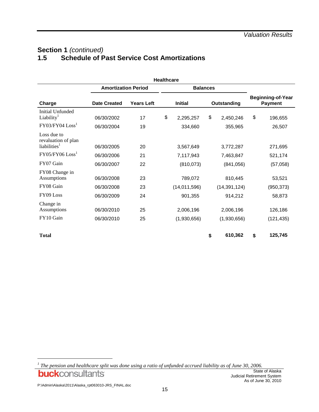## **Section 1** *(continued)*<br>1.5 **Schedule of P 1.5 Schedule of Past Service Cost Amortizations**

|                                                                |                            |                   | <b>Healthcare</b> |                         |    |                           |                                            |
|----------------------------------------------------------------|----------------------------|-------------------|-------------------|-------------------------|----|---------------------------|--------------------------------------------|
|                                                                | <b>Amortization Period</b> |                   |                   | <b>Balances</b>         |    |                           |                                            |
| Charge                                                         | <b>Date Created</b>        | <b>Years Left</b> | <b>Initial</b>    |                         |    | Outstanding               | <b>Beginning-of-Year</b><br><b>Payment</b> |
| Initial Unfunded<br>Liability <sup>1</sup>                     | 06/30/2002                 | 17                | \$                | 2,295,257               | \$ | 2,450,246                 | \$<br>196,655                              |
| $FY03/FY04$ $Loss1$                                            | 06/30/2004                 | 19                |                   | 334,660                 |    | 355,965                   | 26,507                                     |
| Loss due to<br>revaluation of plan<br>liabilities <sup>1</sup> | 06/30/2005                 | 20                |                   | 3,567,649               |    | 3,772,287                 | 271,695                                    |
| $FY05/FY06$ $Loss1$                                            | 06/30/2006                 | 21                |                   | 7,117,943               |    | 7,463,847                 | 521,174                                    |
| FY07 Gain                                                      | 06/30/2007                 | 22                |                   | (810, 073)              |    | (841,056)                 | (57,058)                                   |
| FY08 Change in<br>Assumptions<br>FY08 Gain                     | 06/30/2008<br>06/30/2008   | 23<br>23          |                   | 789,072<br>(14,011,596) |    | 810,445<br>(14, 391, 124) | 53,521<br>(950, 373)                       |
| FY09 Loss                                                      | 06/30/2009                 | 24                |                   | 901,355                 |    | 914,212                   | 58,873                                     |
| Change in<br>Assumptions                                       | 06/30/2010                 | 25                |                   | 2,006,196               |    | 2,006,196                 | 126,186                                    |
| FY10 Gain                                                      | 06/30/2010                 | 25                |                   | (1,930,656)             |    | (1,930,656)               | (121, 435)                                 |
| <b>Total</b>                                                   |                            |                   |                   |                         | \$ | 610,362                   | \$<br>125,745                              |

*1 The pension and healthcare split was done using a ratio of unfunded accrued liability as of June 30, 2006.***buck**consultants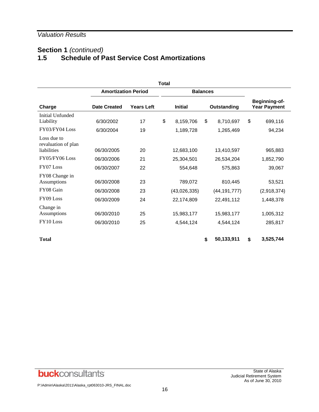## **Section 1** *(continued)*<br>1.5 **Schedule of P 1.5 Schedule of Past Service Cost Amortizations**

|                                                   |                            |                   | Total          |                 |    |                |                                      |
|---------------------------------------------------|----------------------------|-------------------|----------------|-----------------|----|----------------|--------------------------------------|
|                                                   | <b>Amortization Period</b> |                   |                | <b>Balances</b> |    |                |                                      |
| Charge                                            | <b>Date Created</b>        | <b>Years Left</b> | <b>Initial</b> |                 |    | Outstanding    | Beginning-of-<br><b>Year Payment</b> |
| Initial Unfunded<br>Liability                     | 6/30/2002                  | 17                | \$             | 8,159,706       | \$ | 8,710,697      | \$<br>699,116                        |
| FY03/FY04 Loss                                    | 6/30/2004                  | 19                |                | 1,189,728       |    | 1,265,469      | 94,234                               |
| Loss due to<br>revaluation of plan<br>liabilities | 06/30/2005                 | 20                |                | 12,683,100      |    | 13,410,597     | 965,883                              |
| FY05/FY06 Loss                                    | 06/30/2006                 | 21                |                | 25,304,501      |    | 26,534,204     | 1,852,790                            |
| FY07 Loss                                         | 06/30/2007                 | 22                |                | 554,648         |    | 575,863        | 39,067                               |
| FY08 Change in<br>Assumptions<br>FY08 Gain        | 06/30/2008                 | 23<br>23          |                | 789,072         |    | 810,445        | 53,521                               |
|                                                   | 06/30/2008                 |                   |                | (43,026,335)    |    | (44, 191, 777) | (2,918,374)                          |
| FY09 Loss                                         | 06/30/2009                 | 24                |                | 22,174,809      |    | 22,491,112     | 1,448,378                            |
| Change in<br>Assumptions                          | 06/30/2010                 | 25                |                | 15,983,177      |    | 15,983,177     | 1,005,312                            |
| FY10 Loss                                         | 06/30/2010                 | 25                |                | 4,544,124       |    | 4,544,124      | 285,817                              |
| <b>Total</b>                                      |                            |                   |                |                 | \$ | 50,133,911     | \$<br>3,525,744                      |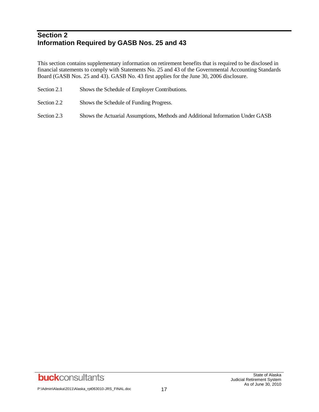## **Section 2 Information Required by GASB Nos. 25 and 43**

This section contains supplementary information on retirement benefits that is required to be disclosed in financial statements to comply with Statements No. 25 and 43 of the Governmental Accounting Standards Board (GASB Nos. 25 and 43). GASB No. 43 first applies for the June 30, 2006 disclosure.

- Section 2.1 Shows the Schedule of Employer Contributions.
- Section 2.2 Shows the Schedule of Funding Progress.
- Section 2.3 Shows the Actuarial Assumptions, Methods and Additional Information Under GASB

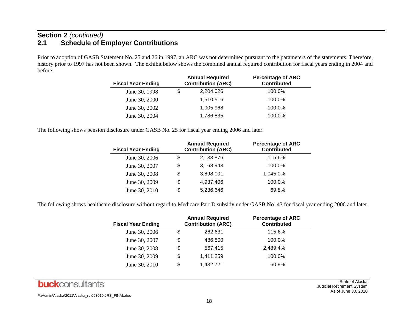## **Section 2** *(continued)* **2.1 Schedule of Employer Contributions**

Prior to adoption of GASB Statement No. 25 and 26 in 1997, an ARC was not determined pursuant to the parameters of the statements. Therefore, history prior to 1997 has not been shown. The exhibit below shows the combined annual required contribution for fiscal years ending in 2004 and before.

| <b>Fiscal Year Ending</b> |   | <b>Annual Required</b><br><b>Contribution (ARC)</b> | <b>Percentage of ARC</b><br><b>Contributed</b> |
|---------------------------|---|-----------------------------------------------------|------------------------------------------------|
| June 30, 1998             | S | 2,204,026                                           | 100.0%                                         |
| June 30, 2000             |   | 1,510,516                                           | 100.0%                                         |
| June 30, 2002             |   | 1,005,968                                           | 100.0%                                         |
| June 30, 2004             |   | 1,786,835                                           | 100.0%                                         |

The following shows pension disclosure under GASB No. 25 for fiscal year ending 2006 and later.

| <b>Fiscal Year Ending</b> | <b>Annual Required</b><br><b>Contribution (ARC)</b> | <b>Percentage of ARC</b><br><b>Contributed</b> |
|---------------------------|-----------------------------------------------------|------------------------------------------------|
| June 30, 2006             | \$<br>2,133,876                                     | 115.6%                                         |
| June 30, 2007             | \$<br>3,168,943                                     | 100.0%                                         |
| June 30, 2008             | \$<br>3,898,001                                     | 1.045.0%                                       |
| June 30, 2009             | \$<br>4,937,406                                     | 100.0%                                         |
| June 30, 2010             | \$<br>5,236,646                                     | 69.8%                                          |

The following shows healthcare disclosure without regard to Medicare Part D subsidy under GASB No. 43 for fiscal year ending 2006 and later.

| <b>Fiscal Year Ending</b> | <b>Annual Required</b><br><b>Contribution (ARC)</b> | <b>Percentage of ARC</b><br><b>Contributed</b> |
|---------------------------|-----------------------------------------------------|------------------------------------------------|
| June 30, 2006             | \$<br>262,631                                       | 115.6%                                         |
| June 30, 2007             | \$<br>486,800                                       | 100.0%                                         |
| June 30, 2008             | \$<br>567,415                                       | 2,489.4%                                       |
| June 30, 2009             | \$<br>1,411,259                                     | 100.0%                                         |
| June 30, 2010             | \$<br>1,432,721                                     | 60.9%                                          |



State of Alaska Judicial Retirement System As of June 30, 2010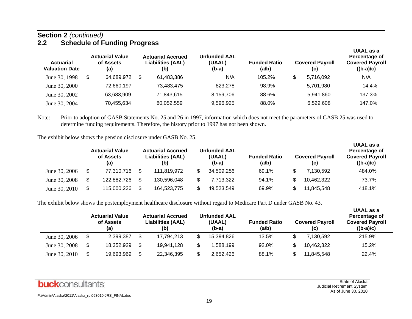#### **Section 2** *(continued)* **2.2 Schedule of Funding Progress**

| <b>Actuarial</b><br><b>Valuation Date</b> | <b>Actuarial Value</b><br>of Assets<br>(a) |   | <b>Actuarial Accrued</b><br><b>Liabilities (AAL)</b><br>(b) | <b>Unfunded AAL</b><br>(UAAL)<br>(b-a) | <b>Funded Ratio</b><br>(a/b) |     | <b>Covered Payroll</b><br>(c) | UAAL as a<br>Percentage of<br><b>Covered Payroll</b><br>$((b-a)/c)$ |
|-------------------------------------------|--------------------------------------------|---|-------------------------------------------------------------|----------------------------------------|------------------------------|-----|-------------------------------|---------------------------------------------------------------------|
| June 30, 1998                             | \$<br>64,689,972                           | S | 61,483,386                                                  | N/A                                    | $105.2\%$                    | \$. | 5.716.092                     | N/A                                                                 |
| June 30, 2000                             | 72.660.197                                 |   | 73.483.475                                                  | 823.278                                | 98.9%                        |     | 5,701,980                     | 14.4%                                                               |
| June 30, 2002                             | 63,683,909                                 |   | 71,843,615                                                  | 8,159,706                              | 88.6%                        |     | 5,941,860                     | 137.3%                                                              |
| June 30, 2004                             | 70,455,634                                 |   | 80,052,559                                                  | 9,596,925                              | 88.0%                        |     | 6,529,608                     | 147.0%                                                              |

Note: Prior to adoption of GASB Statements No. 25 and 26 in 1997, information which does not meet the parameters of GASB 25 was used to determine funding requirements. Therefore, the history prior to 1997 has not been shown.

The exhibit below shows the pension disclosure under GASB No. 25.

|               | <b>Actuarial Value</b><br>of Assets<br>(a) | <b>Actuarial Accrued</b><br><b>Liabilities (AAL)</b><br>(b) | <b>Unfunded AAL</b><br>(UAAL)<br>$(b-a)$ | <b>Funded Ratio</b><br>(a/b) | <b>Covered Payroll</b><br>(C) | UAAL QƏ Q<br>Percentage of<br><b>Covered Payroll</b><br>$((b-a)/c)$ |  |
|---------------|--------------------------------------------|-------------------------------------------------------------|------------------------------------------|------------------------------|-------------------------------|---------------------------------------------------------------------|--|
| June 30, 2006 | \$<br>77,310,716                           | 111.819.972                                                 | 34,509,256                               | 69.1%                        | 7.130.592                     | 484.0%                                                              |  |
| June 30, 2008 | 122,882,726                                | 130,596,048                                                 | 7,713,322                                | 94.1%                        | 10.462.322                    | 73.7%                                                               |  |
| June 30, 2010 | 115,000,226                                | 164,523,775                                                 | 49.523.549                               | 69.9%                        | 11.845.548                    | 418.1%                                                              |  |

The exhibit below shows the postemployment healthcare disclosure without regard to Medicare Part D under GASB No. 43.

|               | <b>Actuarial Value</b><br>of Assets<br>(a) | <b>Actuarial Accrued</b><br>Liabilities (AAL)<br>(b) | <b>Unfunded AAL</b><br>(UAAL)<br>(b-a) | <b>Funded Ratio</b><br>(a/b) | <b>Covered Payroll</b><br>(c) | UAAL as a<br>Percentage of<br><b>Covered Payroll</b><br>$((b-a)/c)$ |
|---------------|--------------------------------------------|------------------------------------------------------|----------------------------------------|------------------------------|-------------------------------|---------------------------------------------------------------------|
| June 30, 2006 | \$<br>2,399,387                            | 17.794.213                                           | 15,394,826                             | 13.5%                        | 7.130.592                     | 215.9%                                                              |
| June 30, 2008 | \$<br>18,352,929                           | 19,941,128                                           | 1,588,199                              | 92.0%                        | 10,462,322                    | 15.2%                                                               |
| June 30, 2010 | \$<br>19,693,969                           | 22,346,395                                           | 2.652.426                              | 88.1%                        | 11.845.548                    | 22.4%                                                               |

**UAAL as a** 

**UAAL as a**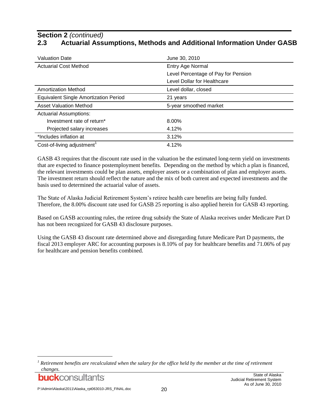## **Section 2** *(continued)* **2.3 Actuarial Assumptions, Methods and Additional Information Under GASB**

| <b>Valuation Date</b>                        | June 30, 2010                       |
|----------------------------------------------|-------------------------------------|
| <b>Actuarial Cost Method</b>                 | Entry Age Normal                    |
|                                              | Level Percentage of Pay for Pension |
|                                              | Level Dollar for Healthcare         |
| <b>Amortization Method</b>                   | Level dollar, closed                |
| <b>Equivalent Single Amortization Period</b> | 21 years                            |
|                                              |                                     |
| <b>Asset Valuation Method</b>                | 5-year smoothed market              |
| <b>Actuarial Assumptions:</b>                |                                     |
| Investment rate of return*                   | 8.00%                               |
| Projected salary increases                   | 4.12%                               |
| *Includes inflation at                       | 3.12%                               |

GASB 43 requires that the discount rate used in the valuation be the estimated long-term yield on investments that are expected to finance postemployment benefits. Depending on the method by which a plan is financed, the relevant investments could be plan assets, employer assets or a combination of plan and employer assets. The investment return should reflect the nature and the mix of both current and expected investments and the basis used to determined the actuarial value of assets.

The State of Alaska Judicial Retirement System's retiree health care benefits are being fully funded. Therefore, the 8.00% discount rate used for GASB 25 reporting is also applied herein for GASB 43 reporting.

Based on GASB accounting rules, the retiree drug subsidy the State of Alaska receives under Medicare Part D has not been recognized for GASB 43 disclosure purposes.

Using the GASB 43 discount rate determined above and disregarding future Medicare Part D payments, the fiscal 2013 employer ARC for accounting purposes is 8.10% of pay for healthcare benefits and 71.06% of pay for healthcare and pension benefits combined.

<sup>&</sup>lt;sup>1</sup> Retirement benefits are recalculated when the salary for the office held by the member at the time of retirement *changes.*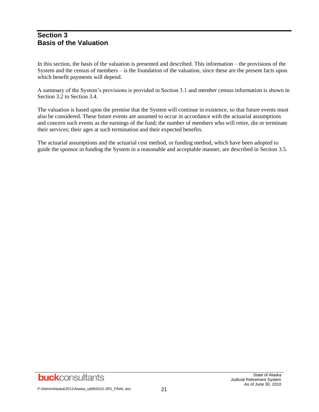## **Section 3 Basis of the Valuation**

In this section, the basis of the valuation is presented and described. This information – the provisions of the System and the census of members – is the foundation of the valuation, since these are the present facts upon which benefit payments will depend.

A summary of the System's provisions is provided in Section 3.1 and member census information is shown in Section 3.2 to Section 3.4.

The valuation is based upon the premise that the System will continue in existence, so that future events must also be considered. These future events are assumed to occur in accordance with the actuarial assumptions and concern such events as the earnings of the fund; the number of members who will retire, die or terminate their services; their ages at such termination and their expected benefits.

The actuarial assumptions and the actuarial cost method, or funding method, which have been adopted to guide the sponsor in funding the System in a reasonable and acceptable manner, are described in Section 3.5.

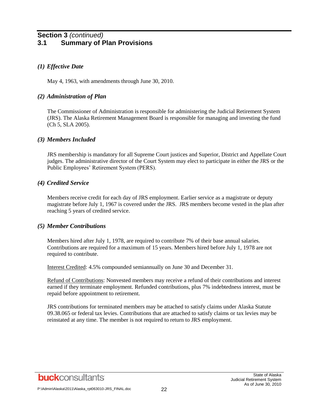## **Section 3** *(continued)* **3.1 Summary of Plan Provisions**

#### *(1) Effective Date*

May 4, 1963, with amendments through June 30, 2010.

#### *(2) Administration of Plan*

The Commissioner of Administration is responsible for administering the Judicial Retirement System (JRS). The Alaska Retirement Management Board is responsible for managing and investing the fund (Ch 5, SLA 2005).

#### *(3) Members Included*

JRS membership is mandatory for all Supreme Court justices and Superior, District and Appellate Court judges. The administrative director of the Court System may elect to participate in either the JRS or the Public Employees' Retirement System (PERS).

#### *(4) Credited Service*

Members receive credit for each day of JRS employment. Earlier service as a magistrate or deputy magistrate before July 1, 1967 is covered under the JRS. JRS members become vested in the plan after reaching 5 years of credited service.

#### *(5) Member Contributions*

Members hired after July 1, 1978, are required to contribute 7% of their base annual salaries. Contributions are required for a maximum of 15 years. Members hired before July 1, 1978 are not required to contribute.

Interest Credited: 4.5% compounded semiannually on June 30 and December 31.

Refund of Contributions: Nonvested members may receive a refund of their contributions and interest earned if they terminate employment. Refunded contributions, plus 7% indebtedness interest, must be repaid before appointment to retirement.

JRS contributions for terminated members may be attached to satisfy claims under Alaska Statute 09.38.065 or federal tax levies. Contributions that are attached to satisfy claims or tax levies may be reinstated at any time. The member is not required to return to JRS employment.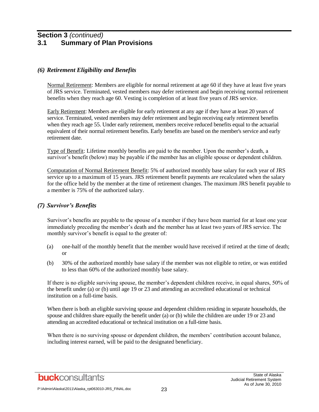## **Section 3** *(continued)* **3.1 Summary of Plan Provisions**

#### *(6) Retirement Eligibility and Benefits*

Normal Retirement: Members are eligible for normal retirement at age 60 if they have at least five years of JRS service. Terminated, vested members may defer retirement and begin receiving normal retirement benefits when they reach age 60. Vesting is completion of at least five years of JRS service.

Early Retirement: Members are eligible for early retirement at any age if they have at least 20 years of service. Terminated, vested members may defer retirement and begin receiving early retirement benefits when they reach age 55. Under early retirement, members receive reduced benefits equal to the actuarial equivalent of their normal retirement benefits. Early benefits are based on the member's service and early retirement date.

Type of Benefit: Lifetime monthly benefits are paid to the member. Upon the member's death, a survivor's benefit (below) may be payable if the member has an eligible spouse or dependent children.

Computation of Normal Retirement Benefit: 5% of authorized monthly base salary for each year of JRS service up to a maximum of 15 years. JRS retirement benefit payments are recalculated when the salary for the office held by the member at the time of retirement changes. The maximum JRS benefit payable to a member is 75% of the authorized salary.

#### *(7) Survivor's Benefits*

Survivor's benefits are payable to the spouse of a member if they have been married for at least one year immediately preceding the member's death and the member has at least two years of JRS service. The monthly survivor's benefit is equal to the greater of:

- (a) one-half of the monthly benefit that the member would have received if retired at the time of death; or
- (b) 30% of the authorized monthly base salary if the member was not eligible to retire, or was entitled to less than 60% of the authorized monthly base salary.

If there is no eligible surviving spouse, the member's dependent children receive, in equal shares, 50% of the benefit under (a) or (b) until age 19 or 23 and attending an accredited educational or technical institution on a full-time basis.

When there is both an eligible surviving spouse and dependent children residing in separate households, the spouse and children share equally the benefit under (a) or (b) while the children are under 19 or 23 and attending an accredited educational or technical institution on a full-time basis.

When there is no surviving spouse or dependent children, the members' contribution account balance, including interest earned, will be paid to the designated beneficiary.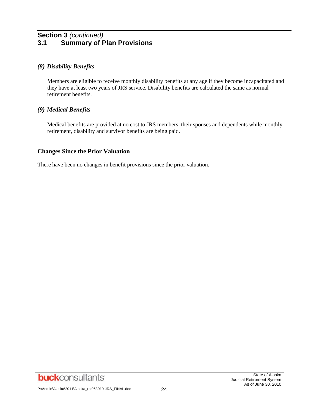## **Section 3** *(continued)* **3.1 Summary of Plan Provisions**

#### *(8) Disability Benefits*

Members are eligible to receive monthly disability benefits at any age if they become incapacitated and they have at least two years of JRS service. Disability benefits are calculated the same as normal retirement benefits.

#### *(9) Medical Benefits*

Medical benefits are provided at no cost to JRS members, their spouses and dependents while monthly retirement, disability and survivor benefits are being paid.

#### **Changes Since the Prior Valuation**

There have been no changes in benefit provisions since the prior valuation.

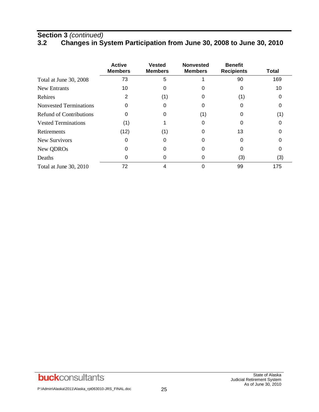# **Section 3** *(continued)*

## **3.2 Changes in System Participation from June 30, 2008 to June 30, 2010**

|                                | <b>Active</b><br><b>Members</b> | <b>Vested</b><br><b>Members</b> | <b>Nonvested</b><br><b>Members</b> | <b>Benefit</b><br><b>Recipients</b> | Total |
|--------------------------------|---------------------------------|---------------------------------|------------------------------------|-------------------------------------|-------|
| Total at June 30, 2008         | 73                              | 5                               |                                    | 90                                  | 169   |
| <b>New Entrants</b>            | 10                              |                                 |                                    | 0                                   | 10    |
| Rehires                        | 2                               | (1)                             |                                    | (1)                                 |       |
| <b>Nonvested Terminations</b>  | 0                               |                                 |                                    |                                     |       |
| <b>Refund of Contributions</b> | 0                               |                                 | (1)                                | O                                   | (1)   |
| <b>Vested Terminations</b>     | (1)                             |                                 |                                    | O                                   |       |
| Retirements                    | (12)                            | (1)                             | O                                  | 13                                  |       |
| New Survivors                  | 0                               | O                               |                                    | 0                                   |       |
| New QDROs                      |                                 | ი                               |                                    | 0                                   |       |
| Deaths                         |                                 |                                 |                                    | (3)                                 | (3)   |
| Total at June 30, 2010         | 72                              |                                 |                                    | 99                                  | 175   |

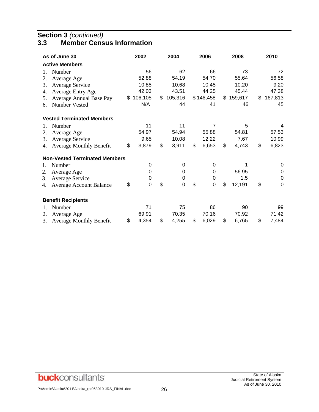## **Section 3** *(continued)*

## **3.3 Member Census Information**

|    | As of June 30                        | 2002              | 2004              | 2006        | 2008         | 2010          |
|----|--------------------------------------|-------------------|-------------------|-------------|--------------|---------------|
|    | <b>Active Members</b>                |                   |                   |             |              |               |
| 1. | Number                               | 56                | 62                | 66          | 73           | 72            |
| 2. | Average Age                          | 52.88             | 54.19             | 54.70       | 55.64        | 56.58         |
| 3. | Average Service                      | 10.85             | 10.68             | 10.45       | 10.20        | 9.20          |
| 4. | <b>Average Entry Age</b>             | 42.03             | 43.51             | 44.25       | 45.44        | 47.38         |
| 5. | Average Annual Base Pay              | \$<br>106,105     | \$<br>105,316     | \$146,458   | \$159,617    | \$<br>167,813 |
| 6. | Number Vested                        | N/A               | 44                | 41          | 46           | 45            |
|    | <b>Vested Terminated Members</b>     |                   |                   |             |              |               |
| 1. | Number                               | 11                | 11                | 7           | 5            | 4             |
| 2. | Average Age                          | 54.97             | 54.94             | 55.88       | 54.81        | 57.53         |
| 3. | Average Service                      | 9.65              | 10.08             | 12.22       | 7.67         | 10.99         |
| 4. | <b>Average Monthly Benefit</b>       | \$<br>3,879       | \$<br>3,911       | \$<br>6,653 | \$<br>4,743  | \$<br>6,823   |
|    | <b>Non-Vested Terminated Members</b> |                   |                   |             |              |               |
| 1. | Number                               | 0                 | 0                 | 0           |              | 0             |
| 2. | Average Age                          | 0                 | 0                 | 0           | 56.95        | 0             |
| 3. | <b>Average Service</b>               | 0                 | $\mathbf 0$       | 0           | 1.5          | 0             |
| 4. | <b>Average Account Balance</b>       | \$<br>$\mathbf 0$ | \$<br>$\mathbf 0$ | \$<br>0     | \$<br>12,191 | \$<br>0       |
|    | <b>Benefit Recipients</b>            |                   |                   |             |              |               |
| 1. | Number                               | 71                | 75                | 86          | 90           | 99            |
| 2. | Average Age                          | 69.91             | 70.35             | 70.16       | 70.92        | 71.42         |
| 3. | <b>Average Monthly Benefit</b>       | \$<br>4,354       | \$<br>4,255       | \$<br>6,029 | \$<br>6,765  | \$<br>7,484   |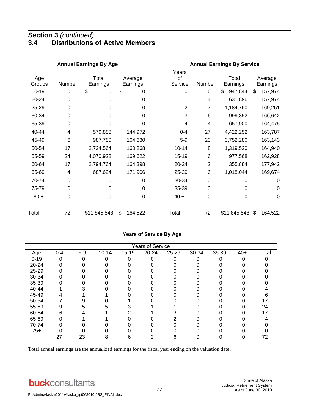## **Section 3** *(continued)* **3.4 Distributions of Active Members**

|               |                 | <b>Annual Earnings By Age</b> | <b>Annual Earnings By Service</b> |                        |                         |                   |                     |  |  |
|---------------|-----------------|-------------------------------|-----------------------------------|------------------------|-------------------------|-------------------|---------------------|--|--|
| Age<br>Groups | Number          | Total<br>Earnings             | Average<br>Earnings               | Years<br>οf<br>Service | Number                  | Total<br>Earnings | Average<br>Earnings |  |  |
| $0 - 19$      | 0               | \$<br>0                       | \$<br>$\mathbf 0$                 | 0                      | 6                       | \$<br>947,844     | \$<br>157,974       |  |  |
| 20-24         | $\Omega$        | 0                             | 0                                 |                        | $\overline{\mathbf{4}}$ | 631,896           | 157,974             |  |  |
| 25-29         | $\Omega$        | 0                             | 0                                 | 2                      | 7                       | 1,184,760         | 169,251             |  |  |
| 30-34         | 0               | 0                             | 0                                 | 3                      | 6                       | 999,852           | 166,642             |  |  |
| 35-39         | $\mathbf 0$     | 0                             | 0                                 | 4                      | 4                       | 657,900           | 164,475             |  |  |
| 40-44         | 4               | 579,888                       | 144,972                           | $0 - 4$                | 27                      | 4,422,252         | 163,787             |  |  |
| 45-49         | $6\phantom{1}6$ | 987,780                       | 164,630                           | $5-9$                  | 23                      | 3,752,280         | 163,143             |  |  |
| 50-54         | 17              | 2,724,564                     | 160,268                           | $10 - 14$              | 8                       | 1,319,520         | 164,940             |  |  |
| 55-59         | 24              | 4,070,928                     | 169,622                           | 15-19                  | 6                       | 977,568           | 162,928             |  |  |
| 60-64         | 17              | 2,794,764                     | 164,398                           | 20-24                  | $\overline{2}$          | 355,884           | 177,942             |  |  |
| 65-69         | 4               | 687,624                       | 171,906                           | 25-29                  | 6                       | 1,018,044         | 169,674             |  |  |
| 70-74         | $\Omega$        | 0                             | 0                                 | 30-34                  | 0                       | 0                 | 0                   |  |  |
| 75-79         | 0               | 0                             | 0                                 | 35-39                  | $\mathbf 0$             | 0                 | 0                   |  |  |
| $80 +$        | $\pmb{0}$       | 0                             | 0                                 | $40 +$                 | $\mathbf 0$             | 0                 | 0                   |  |  |
| Total         | 72              | \$11,845,548                  | \$<br>164,522                     | Total                  | 72                      | \$11,845,548      | \$<br>164,522       |  |  |

#### **Years of Service By Age**

|          | <b>Years of Service</b> |       |           |           |       |       |       |       |       |       |  |  |
|----------|-------------------------|-------|-----------|-----------|-------|-------|-------|-------|-------|-------|--|--|
| Age      | $0 - 4$                 | $5-9$ | $10 - 14$ | $15 - 19$ | 20-24 | 25-29 | 30-34 | 35-39 | $40+$ | Total |  |  |
| $0 - 19$ | 0                       | 0     | ი         | 0         |       | 0     |       | 0     |       |       |  |  |
| 20-24    |                         |       |           |           |       |       |       |       |       |       |  |  |
| 25-29    | 0                       |       |           |           |       |       |       |       |       |       |  |  |
| 30-34    |                         |       |           |           |       |       |       |       |       |       |  |  |
| 35-39    |                         |       |           |           |       |       |       |       |       |       |  |  |
| 40-44    |                         |       |           |           |       |       |       |       |       |       |  |  |
| 45-49    |                         |       |           |           |       |       |       |       |       |       |  |  |
| 50-54    |                         |       |           |           |       |       |       |       |       | 17    |  |  |
| 55-59    | 9                       |       |           |           |       |       |       |       |       | 24    |  |  |
| 60-64    | 6                       |       |           |           |       |       |       |       |       | 17    |  |  |
| 65-69    |                         |       |           |           |       |       |       |       |       |       |  |  |
| 70-74    |                         |       |           |           |       |       |       |       |       |       |  |  |
| $75+$    | ი                       |       | 0         |           |       |       |       | O     |       |       |  |  |
|          | 27                      | 23    | 8         | 6         | っ     | 6     | ∩     | 0     |       | 72    |  |  |

Total annual earnings are the annualized earnings for the fiscal year ending on the valuation date.

**buck**consultants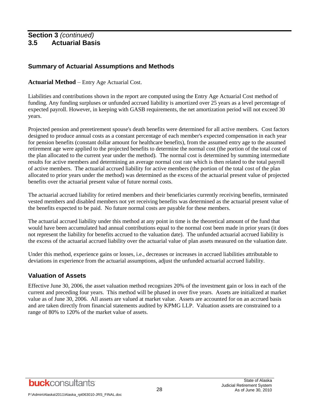## **Summary of Actuarial Assumptions and Methods**

#### **Actuarial Method** – Entry Age Actuarial Cost.

Liabilities and contributions shown in the report are computed using the Entry Age Actuarial Cost method of funding. Any funding surpluses or unfunded accrued liability is amortized over 25 years as a level percentage of expected payroll. However, in keeping with GASB requirements, the net amortization period will not exceed 30 years.

Projected pension and preretirement spouse's death benefits were determined for all active members. Cost factors designed to produce annual costs as a constant percentage of each member's expected compensation in each year for pension benefits (constant dollar amount for healthcare benefits), from the assumed entry age to the assumed retirement age were applied to the projected benefits to determine the normal cost (the portion of the total cost of the plan allocated to the current year under the method). The normal cost is determined by summing intermediate results for active members and determining an average normal cost rate which is then related to the total payroll of active members. The actuarial accrued liability for active members (the portion of the total cost of the plan allocated to prior years under the method) was determined as the excess of the actuarial present value of projected benefits over the actuarial present value of future normal costs.

The actuarial accrued liability for retired members and their beneficiaries currently receiving benefits, terminated vested members and disabled members not yet receiving benefits was determined as the actuarial present value of the benefits expected to be paid. No future normal costs are payable for these members.

The actuarial accrued liability under this method at any point in time is the theoretical amount of the fund that would have been accumulated had annual contributions equal to the normal cost been made in prior years (it does not represent the liability for benefits accrued to the valuation date). The unfunded actuarial accrued liability is the excess of the actuarial accrued liability over the actuarial value of plan assets measured on the valuation date.

Under this method, experience gains or losses, i.e., decreases or increases in accrued liabilities attributable to deviations in experience from the actuarial assumptions, adjust the unfunded actuarial accrued liability.

## **Valuation of Assets**

Effective June 30, 2006, the asset valuation method recognizes 20% of the investment gain or loss in each of the current and preceding four years. This method will be phased in over five years. Assets are initialized at market value as of June 30, 2006. All assets are valued at market value. Assets are accounted for on an accrued basis and are taken directly from financial statements audited by KPMG LLP. Valuation assets are constrained to a range of 80% to 120% of the market value of assets.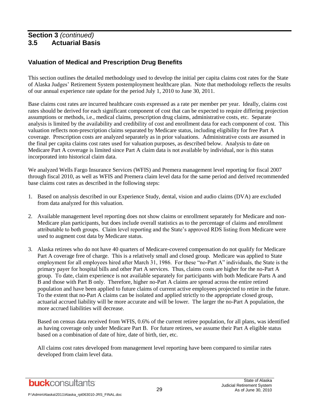## **Valuation of Medical and Prescription Drug Benefits**

This section outlines the detailed methodology used to develop the initial per capita claims cost rates for the State of Alaska Judges' Retirement System postemployment healthcare plan. Note that methodology reflects the results of our annual experience rate update for the period July 1, 2010 to June 30, 2011.

Base claims cost rates are incurred healthcare costs expressed as a rate per member per year. Ideally, claims cost rates should be derived for each significant component of cost that can be expected to require differing projection assumptions or methods, i.e., medical claims, prescription drug claims, administrative costs, etc. Separate analysis is limited by the availability and credibility of cost and enrollment data for each component of cost. This valuation reflects non-prescription claims separated by Medicare status, including eligibility for free Part A coverage. Prescription costs are analyzed separately as in prior valuations. Administrative costs are assumed in the final per capita claims cost rates used for valuation purposes, as described below. Analysis to date on Medicare Part A coverage is limited since Part A claim data is not available by individual, nor is this status incorporated into historical claim data.

We analyzed Wells Fargo Insurance Services (WFIS) and Premera management level reporting for fiscal 2007 through fiscal 2010, as well as WFIS and Premera claim level data for the same period and derived recommended base claims cost rates as described in the following steps:

- 1. Based on analysis described in our Experience Study, dental, vision and audio claims (DVA) are excluded from data analyzed for this valuation.
- 2. Available management level reporting does not show claims or enrollment separately for Medicare and non-Medicare plan participants, but does include overall statistics as to the percentage of claims and enrollment attributable to both groups. Claim level reporting and the State's approved RDS listing from Medicare were used to augment cost data by Medicare status.
- 3. Alaska retirees who do not have 40 quarters of Medicare-covered compensation do not qualify for Medicare Part A coverage free of charge. This is a relatively small and closed group. Medicare was applied to State employment for all employees hired after March 31, 1986. For these "no-Part A" individuals, the State is the primary payer for hospital bills and other Part A services. Thus, claims costs are higher for the no-Part A group. To date, claim experience is not available separately for participants with both Medicare Parts A and B and those with Part B only. Therefore, higher no-Part A claims are spread across the entire retired population and have been applied to future claims of current active employees projected to retire in the future. To the extent that no-Part A claims can be isolated and applied strictly to the appropriate closed group, actuarial accrued liability will be more accurate and will be lower. The larger the no-Part A population, the more accrued liabilities will decrease.

Based on census data received from WFIS, 0.6% of the current retiree population, for all plans, was identified as having coverage only under Medicare Part B. For future retirees, we assume their Part A eligible status based on a combination of date of hire, date of birth, tier, etc.

All claims cost rates developed from management level reporting have been compared to similar rates developed from claim level data.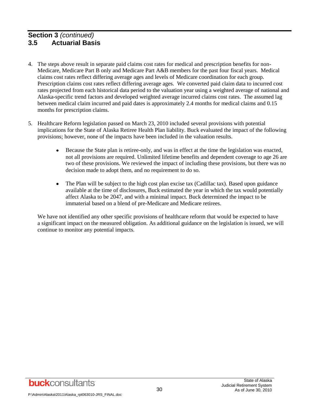- 4. The steps above result in separate paid claims cost rates for medical and prescription benefits for non-Medicare, Medicare Part B only and Medicare Part A&B members for the past four fiscal years. Medical claims cost rates reflect differing average ages and levels of Medicare coordination for each group. Prescription claims cost rates reflect differing average ages. We converted paid claim data to incurred cost rates projected from each historical data period to the valuation year using a weighted average of national and Alaska-specific trend factors and developed weighted average incurred claims cost rates. The assumed lag between medical claim incurred and paid dates is approximately 2.4 months for medical claims and 0.15 months for prescription claims.
- 5. Healthcare Reform legislation passed on March 23, 2010 included several provisions with potential implications for the State of Alaska Retiree Health Plan liability. Buck evaluated the impact of the following provisions; however, none of the impacts have been included in the valuation results.
	- $\bullet$ Because the State plan is retiree-only, and was in effect at the time the legislation was enacted, not all provisions are required. Unlimited lifetime benefits and dependent coverage to age 26 are two of these provisions. We reviewed the impact of including these provisions, but there was no decision made to adopt them, and no requirement to do so.
	- The Plan will be subject to the high cost plan excise tax (Cadillac tax). Based upon guidance available at the time of disclosures, Buck estimated the year in which the tax would potentially affect Alaska to be 2047, and with a minimal impact. Buck determined the impact to be immaterial based on a blend of pre-Medicare and Medicare retirees.

We have not identified any other specific provisions of healthcare reform that would be expected to have a significant impact on the measured obligation. As additional guidance on the legislation is issued, we will continue to monitor any potential impacts.

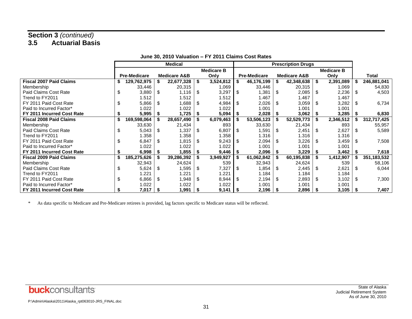|                                | <b>Medical</b>      |    |                         |     |                   |    |                     | <b>Prescription Drugs</b> |    |                   |    |               |
|--------------------------------|---------------------|----|-------------------------|-----|-------------------|----|---------------------|---------------------------|----|-------------------|----|---------------|
|                                |                     |    |                         |     | <b>Medicare B</b> |    |                     |                           |    | <b>Medicare B</b> |    |               |
|                                | <b>Pre-Medicare</b> |    | <b>Medicare A&amp;B</b> |     | Only              |    | <b>Pre-Medicare</b> | <b>Medicare A&amp;B</b>   |    | Only              |    | <b>Total</b>  |
| <b>Fiscal 2007 Paid Claims</b> | 129,762,975         |    | 22,677,328              | -S  | 3,524,812         |    | 46,176,199          | 42,348,638                | -S | 2,391,089         |    | 246,881,041   |
| Membership                     | 33,446              |    | 20,315                  |     | 1,069             |    | 33,446              | 20,315                    |    | 1,069             |    | 54,830        |
| Paid Claims Cost Rate          | \$<br>3,880         | \$ | 1,116                   | \$  | 3,297             | \$ | 1,381               | \$<br>2,085               | \$ | 2,236             | \$ | 4,503         |
| Trend to FY2011                | 1.512               |    | 1.512                   |     | 1.512             |    | 1.467               | 1.467                     |    | 1.467             |    |               |
| FY 2011 Paid Cost Rate         | \$<br>5,866         | \$ | 886.1                   | \$  | 4,984             | \$ | 2,026               | \$<br>3,059               | \$ | 3,282             | \$ | 6,734         |
| Paid to Incurred Factor*       | 1.022               |    | 1.022                   |     | 1.022             |    | 1.001               | 1.001                     |    | 1.001             |    |               |
| FY 2011 Incurred Cost Rate     | 5,995               |    | 1,725                   |     | 5,094             |    | 2,028               | 3,062                     |    | 3,285             |    | 6,830         |
| <b>Fiscal 2008 Paid Claims</b> | 169,598,064         |    | 28,657,490              |     | 6,079,463         |    | 53,506,123          | 52,529,773                | S. | 2,346,512         |    | 312,717,425   |
| Membership                     | 33,630              |    | 21,434                  |     | 893               |    | 33,630              | 21,434                    |    | 893               |    | 55,957        |
| Paid Claims Cost Rate          | \$<br>5,043         | \$ | 1,337                   | \$  | 6,807             | \$ | 1,591               | \$<br>2,451               | \$ | 2,627             | S  | 5,589         |
| Trend to FY2011                | 1.358               |    | 1.358                   |     | 1.358             |    | 1.316               | 1.316                     |    | 1.316             |    |               |
| FY 2011 Paid Cost Rate         | \$<br>6,847         | \$ | 1,815                   | S.  | 9,243             | \$ | 2,094               | \$<br>3,226               | \$ | 3,459             | \$ | 7,508         |
| Paid to Incurred Factor*       | 1.022               |    | 1.022                   |     | 1.022             |    | 1.001               | 1.001                     |    | 1.001             |    |               |
| FY 2011 Incurred Cost Rate     | 6,998               |    | 1,855                   | - 5 | 9,446             |    | 2,096               | 3,229                     |    | 3,462             |    | 7,618         |
| <b>Fiscal 2009 Paid Claims</b> | 185,275,626         |    | 39,286,392              |     | 3,949,927         |    | 61,062,842          | 60,195,838                |    | 1,412,907         |    | 351, 183, 532 |
| Membership                     | 32,943              |    | 24,624                  |     | 539               |    | 32,943              | 24,624                    |    | 539               |    | 58,106        |
| Paid Claims Cost Rate          | \$<br>5,624         | \$ | 1,595                   | \$  | 7,327             | \$ | 1,854               | \$<br>2,445               | \$ | 2,621             | \$ | 6,044         |
| Trend to FY2011                | 1.221               |    | 1.221                   |     | 1.221             |    | 1.184               | 1.184                     |    | 1.184             |    |               |
| FY 2011 Paid Cost Rate         | \$<br>6,866         | \$ | 1,948                   | \$  | 8,944             | \$ | 2,194               | \$<br>2,893               | \$ | 3,102             | \$ | 7,300         |
| Paid to Incurred Factor*       | 1.022               |    | 1.022                   |     | 1.022             |    | 1.001               | 1.001                     |    | 1.001             |    |               |
| FY 2011 Incurred Cost Rate     | 7,017               |    | 1,991                   |     | $9,141$           |    | 2,196               | 2,896                     |    | 3,105             |    | 7,407         |

#### **June 30, 2010 Valuation – FY 2011 Claims Cost Rates**

\* As data specific to Medicare and Pre-Medicare retirees is provided, lag factors specific to Medicare status will be reflected.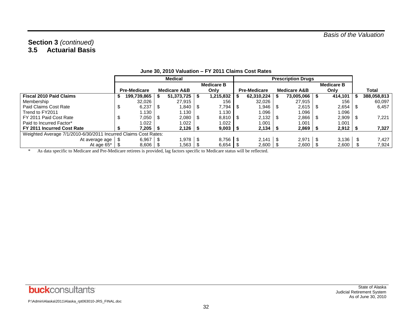|                                                                 | <b>Medical</b> |                     |      |                         |     |                       |           |                     | <b>Prescription Drugs</b> |                   |             |
|-----------------------------------------------------------------|----------------|---------------------|------|-------------------------|-----|-----------------------|-----------|---------------------|---------------------------|-------------------|-------------|
|                                                                 |                |                     |      |                         |     | <b>Medicare B</b>     |           |                     |                           | <b>Medicare B</b> |             |
|                                                                 |                | <b>Pre-Medicare</b> |      | <b>Medicare A&amp;B</b> |     | Only                  |           | <b>Pre-Medicare</b> | <b>Medicare A&amp;B</b>   | Only              | Total       |
| <b>Fiscal 2010 Paid Claims</b>                                  | P.             | 199,739,865         |      | $51,373,725$   \$       |     | 1,215,832             |           | 62,310,224          | 73,005,066                | 414,101           | 388,058,813 |
| Membership                                                      |                | 32,026              |      | 27.915                  |     | 156                   |           | 32.026              | 27.915                    | 156               | 60,097      |
| Paid Claims Cost Rate                                           | จ              | 6,237               | l \$ | 1,840 S                 |     | 7,794                 | <b>IS</b> | .946                | 2,615                     | 2,654             | 6,457       |
| Trend to FY2011                                                 |                | 1.130               |      | 1.130                   |     | 1.130                 |           | 096. ا              | 1.096                     | 1.096             |             |
| FY 2011 Paid Cost Rate                                          | S              | 7.050               | 1 S  | 2.080                   | 1 S | $8,810$ $\sqrt{5}$    |           | $2.132 \mid$ \$     | 2,866                     | 2,909             | 7.221       |
| Paid to Incurred Factor*                                        |                | 1.022               |      | 1.022                   |     | 1.022                 |           | 1.001               | 1.001                     | 1.001             |             |
| FY 2011 Incurred Cost Rate                                      |                | 7,205 \$            |      | $2,126$   \$            |     | $9,003$   \$          |           |                     | $2,869$   \$              | $2,912$   \$      | 7,327       |
| Weighted Average 7/1/2010-6/30/2011 Incurred Claims Cost Rates: |                |                     |      |                         |     |                       |           |                     |                           |                   |             |
| At average age                                                  |                | 6,967               |      | 1,978 \$                |     | $8,756$ $\frac{1}{3}$ |           | 2.141               | 2,971                     | 3,136             | 7,427       |
| At age 65*                                                      |                | $8,606$   \$        |      | 1,563                   |     | $6,654$   \$          |           | 2,600               | 2,600                     | 2,600             | 7,924       |

#### **June 30, 2010 Valuation – FY 2011 Claims Cost Rates**

\* As data specific to Medicare and Pre-Medicare retirees is provided, lag factors specific to Medicare status will be reflected.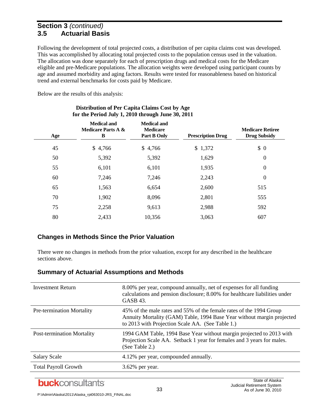Following the development of total projected costs, a distribution of per capita claims cost was developed. This was accomplished by allocating total projected costs to the population census used in the valuation. The allocation was done separately for each of prescription drugs and medical costs for the Medicare eligible and pre-Medicare populations. The allocation weights were developed using participant counts by age and assumed morbidity and aging factors. Results were tested for reasonableness based on historical trend and external benchmarks for costs paid by Medicare.

Below are the results of this analysis:

| Age | <b>Medical and</b><br><b>Medicare Parts A &amp;</b><br>B | <b>Medical and</b><br><b>Medicare</b><br>Part B Only | <b>Prescription Drug</b> | <b>Medicare Retiree</b><br><b>Drug Subsidy</b> |
|-----|----------------------------------------------------------|------------------------------------------------------|--------------------------|------------------------------------------------|
| 45  | \$4,766                                                  | \$4,766                                              | \$1,372                  | \$0                                            |
| 50  | 5,392                                                    | 5,392                                                | 1,629                    | $\boldsymbol{0}$                               |
| 55  | 6,101                                                    | 6,101                                                | 1,935                    | $\boldsymbol{0}$                               |
| 60  | 7,246                                                    | 7,246                                                | 2,243                    | $\boldsymbol{0}$                               |
| 65  | 1,563                                                    | 6,654                                                | 2,600                    | 515                                            |
| 70  | 1,902                                                    | 8,096                                                | 2,801                    | 555                                            |
| 75  | 2,258                                                    | 9,613                                                | 2,988                    | 592                                            |
| 80  | 2,433                                                    | 10,356                                               | 3,063                    | 607                                            |

#### **Distribution of Per Capita Claims Cost by Age for the Period July 1, 2010 through June 30, 2011**

## **Changes in Methods Since the Prior Valuation**

There were no changes in methods from the prior valuation, except for any described in the healthcare sections above.

| Investment Return                 | 8.00% per year, compound annually, net of expenses for all funding<br>calculations and pension disclosure; 8.00% for healthcare liabilities under<br><b>GASB 43.</b>                              |
|-----------------------------------|---------------------------------------------------------------------------------------------------------------------------------------------------------------------------------------------------|
| <b>Pre-termination Mortality</b>  | 45% of the male rates and 55% of the female rates of the 1994 Group<br>Annuity Mortality (GAM) Table, 1994 Base Year without margin projected<br>to 2013 with Projection Scale AA. (See Table 1.) |
| <b>Post-termination Mortality</b> | 1994 GAM Table, 1994 Base Year without margin projected to 2013 with<br>Projection Scale AA. Setback 1 year for females and 3 years for males.<br>(See Table 2.)                                  |
| <b>Salary Scale</b>               | 4.12% per year, compounded annually.                                                                                                                                                              |
| <b>Total Payroll Growth</b>       | 3.62% per year.                                                                                                                                                                                   |

## **Summary of Actuarial Assumptions and Methods**

## **buck**consultants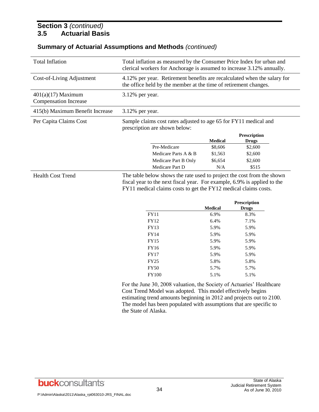## **Summary of Actuarial Assumptions and Methods** *(continued)*

| <b>Total Inflation</b>                               |                                                                                                                                                                                               | Total inflation as measured by the Consumer Price Index for urban and<br>clerical workers for Anchorage is assumed to increase 3.12% annually. |                         |  |  |  |  |  |  |  |
|------------------------------------------------------|-----------------------------------------------------------------------------------------------------------------------------------------------------------------------------------------------|------------------------------------------------------------------------------------------------------------------------------------------------|-------------------------|--|--|--|--|--|--|--|
| Cost-of-Living Adjustment                            | 4.12% per year. Retirement benefits are recalculated when the salary for<br>the office held by the member at the time of retirement changes.                                                  |                                                                                                                                                |                         |  |  |  |  |  |  |  |
| $401(a)(17)$ Maximum<br><b>Compensation Increase</b> | 3.12% per year.                                                                                                                                                                               |                                                                                                                                                |                         |  |  |  |  |  |  |  |
| 415(b) Maximum Benefit Increase                      | 3.12% per year.                                                                                                                                                                               |                                                                                                                                                |                         |  |  |  |  |  |  |  |
| Per Capita Claims Cost                               | Sample claims cost rates adjusted to age 65 for FY11 medical and<br>prescription are shown below:                                                                                             |                                                                                                                                                |                         |  |  |  |  |  |  |  |
|                                                      |                                                                                                                                                                                               | <b>Medical</b>                                                                                                                                 | Prescription            |  |  |  |  |  |  |  |
|                                                      | Pre-Medicare                                                                                                                                                                                  | \$8,606                                                                                                                                        | <b>Drugs</b><br>\$2,600 |  |  |  |  |  |  |  |
|                                                      | Medicare Parts A & B                                                                                                                                                                          | \$1,563                                                                                                                                        | \$2,600                 |  |  |  |  |  |  |  |
|                                                      |                                                                                                                                                                                               |                                                                                                                                                |                         |  |  |  |  |  |  |  |
|                                                      |                                                                                                                                                                                               |                                                                                                                                                |                         |  |  |  |  |  |  |  |
| <b>Health Cost Trend</b>                             | Medicare Part B Only<br>Medicare Part D<br>The table below shows the rate used to project the cost from the shown<br>fiscal year to the next fiscal year. For example, 6.9% is applied to the | \$6,654<br>N/A                                                                                                                                 | \$2,600<br>\$515        |  |  |  |  |  |  |  |
|                                                      | FY11 medical claims costs to get the FY12 medical claims costs.                                                                                                                               |                                                                                                                                                | Prescription            |  |  |  |  |  |  |  |
|                                                      |                                                                                                                                                                                               | <b>Medical</b>                                                                                                                                 | <b>Drugs</b>            |  |  |  |  |  |  |  |
|                                                      | <b>FY11</b>                                                                                                                                                                                   | 6.9%                                                                                                                                           | 8.3%                    |  |  |  |  |  |  |  |
|                                                      | FY12                                                                                                                                                                                          | 6.4%                                                                                                                                           | 7.1%                    |  |  |  |  |  |  |  |
|                                                      | FY13<br><b>FY14</b>                                                                                                                                                                           | 5.9%<br>5.9%                                                                                                                                   | 5.9%<br>5.9%            |  |  |  |  |  |  |  |
|                                                      | <b>FY15</b>                                                                                                                                                                                   | 5.9%                                                                                                                                           | 5.9%                    |  |  |  |  |  |  |  |
|                                                      | FY16                                                                                                                                                                                          | 5.9%                                                                                                                                           | 5.9%                    |  |  |  |  |  |  |  |
|                                                      | <b>FY17</b>                                                                                                                                                                                   | 5.9%                                                                                                                                           | 5.9%                    |  |  |  |  |  |  |  |
|                                                      | <b>FY25</b>                                                                                                                                                                                   | 5.8%                                                                                                                                           | 5.8%                    |  |  |  |  |  |  |  |
|                                                      | <b>FY50</b>                                                                                                                                                                                   | 5.7%                                                                                                                                           | 5.7%                    |  |  |  |  |  |  |  |

estimating trend amounts beginning in 2012 and projects out to 2100. The model has been populated with assumptions that are specific to the State of Alaska.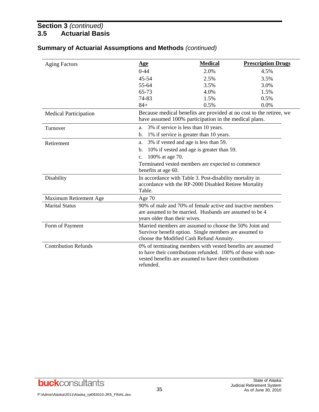| <b>Summary of Actuarial Assumptions and Methods (continued)</b> |  |
|-----------------------------------------------------------------|--|
|-----------------------------------------------------------------|--|

| <b>Aging Factors</b>         | <u>Age</u>                    | <b>Medical</b>                                                                                                                                                                         | <b>Prescription Drugs</b>                                           |
|------------------------------|-------------------------------|----------------------------------------------------------------------------------------------------------------------------------------------------------------------------------------|---------------------------------------------------------------------|
|                              | $0 - 44$                      | 2.0%                                                                                                                                                                                   | 4.5%                                                                |
|                              | $45 - 54$                     | 2.5%                                                                                                                                                                                   | 3.5%                                                                |
|                              | 55-64                         | 3.5%                                                                                                                                                                                   | 3.0%                                                                |
|                              | 65-73                         | 4.0%                                                                                                                                                                                   | 1.5%                                                                |
|                              | 74-83                         | 1.5%                                                                                                                                                                                   | 0.5%                                                                |
|                              | $84+$                         | 0.5%                                                                                                                                                                                   | 0.0%                                                                |
| <b>Medical Participation</b> |                               | have assumed 100% participation in the medical plans.                                                                                                                                  | Because medical benefits are provided at no cost to the retiree, we |
| Turnover                     | a.                            | 3% if service is less than 10 years.                                                                                                                                                   |                                                                     |
|                              | b.                            | 1% if service is greater than 10 years.                                                                                                                                                |                                                                     |
| Retirement                   | a.                            | 3% if vested and age is less than 59.                                                                                                                                                  |                                                                     |
|                              | b.                            | 10% if vested and age is greater than 59.                                                                                                                                              |                                                                     |
|                              | 100% at age 70.<br>c.         |                                                                                                                                                                                        |                                                                     |
|                              |                               | Terminated vested members are expected to commence                                                                                                                                     |                                                                     |
|                              | benefits at age 60.           |                                                                                                                                                                                        |                                                                     |
| Disability                   |                               | In accordance with Table 3. Post-disability mortality in                                                                                                                               |                                                                     |
|                              |                               | accordance with the RP-2000 Disabled Retiree Mortality                                                                                                                                 |                                                                     |
|                              | Table.                        |                                                                                                                                                                                        |                                                                     |
| Maximum Retirement Age       | Age $70$                      |                                                                                                                                                                                        |                                                                     |
| <b>Marital Status</b>        | years older than their wives. | 90% of male and 70% of female active and inactive members<br>are assumed to be married. Husbands are assumed to be 4                                                                   |                                                                     |
| Form of Payment              |                               | Married members are assumed to choose the 50% Joint and<br>Survivor benefit option. Single members are assumed to<br>choose the Modified Cash Refund Annuity.                          |                                                                     |
| <b>Contribution Refunds</b>  | refunded.                     | 0% of terminating members with vested benefits are assumed<br>to have their contributions refunded. 100% of those with non-<br>vested benefits are assumed to have their contributions |                                                                     |

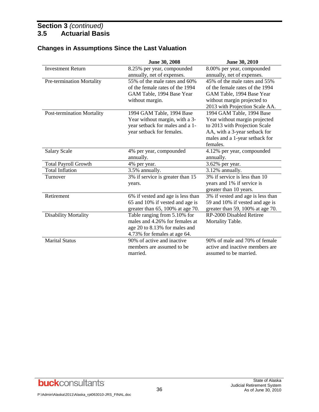|                                   | June 30, 2008                     | June 30, 2010                     |
|-----------------------------------|-----------------------------------|-----------------------------------|
| <b>Investment Return</b>          | 8.25% per year, compounded        | 8.00% per year, compounded        |
|                                   | annually, net of expenses.        | annually, net of expenses.        |
| Pre-termination Mortality         | 55% of the male rates and 60%     | 45% of the male rates and 55%     |
|                                   | of the female rates of the 1994   | of the female rates of the 1994   |
|                                   | GAM Table, 1994 Base Year         | GAM Table, 1994 Base Year         |
|                                   | without margin.                   | without margin projected to       |
|                                   |                                   | 2013 with Projection Scale AA.    |
| <b>Post-termination Mortality</b> | 1994 GAM Table, 1994 Base         | 1994 GAM Table, 1994 Base         |
|                                   | Year without margin, with a 3-    | Year without margin projected     |
|                                   | year setback for males and a 1-   | to 2013 with Projection Scale     |
|                                   | year setback for females.         | AA, with a 3-year setback for     |
|                                   |                                   | males and a 1-year setback for    |
|                                   |                                   | females.                          |
| <b>Salary Scale</b>               | 4% per year, compounded           | 4.12% per year, compounded        |
|                                   | annually.                         | annually.                         |
| <b>Total Payroll Growth</b>       | 4% per year.                      | 3.62% per year.                   |
| <b>Total Inflation</b>            | 3.5% annually.                    | 3.12% annually.                   |
| Turnover                          | 3% if service is greater than 15  | 3% if service is less than 10     |
|                                   | years.                            | years and 1% if service is        |
|                                   |                                   | greater than 10 years.            |
| Retirement                        | 6% if vested and age is less than | 3% if vested and age is less than |
|                                   | 65 and 10% if vested and age is   | 59 and 10% if vested and age is   |
|                                   | greater than 65, 100% at age 70.  | greater than 59, 100% at age 70.  |
| <b>Disability Mortality</b>       | Table ranging from 5.10% for      | RP-2000 Disabled Retiree          |
|                                   | males and 4.26% for females at    | Mortality Table.                  |
|                                   | age 20 to 8.13% for males and     |                                   |
|                                   | 4.73% for females at age 64.      |                                   |
| <b>Marital Status</b>             | 90% of active and inactive        | 90% of male and 70% of female     |
|                                   | members are assumed to be.        | active and inactive members are   |
|                                   | married.                          | assumed to be married.            |

## **Changes in Assumptions Since the Last Valuation**

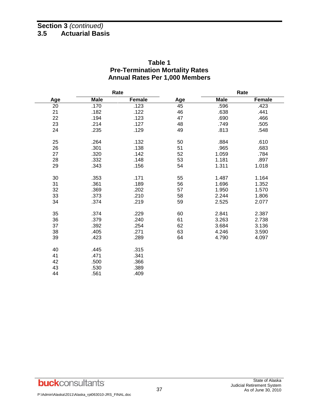#### **Table 1 Pre-Termination Mortality Rates Annual Rates Per 1,000 Members**

|     |             | Rate<br>Rate |     |             |               |
|-----|-------------|--------------|-----|-------------|---------------|
| Age | <b>Male</b> | Female       | Age | <b>Male</b> | <b>Female</b> |
| 20  | .170        | .123         | 45  | .596        | .423          |
| 21  | .182        | .122         | 46  | .638        | .441          |
| 22  | .194        | .123         | 47  | .690        | .466          |
| 23  | .214        | .127         | 48  | .749        | .505          |
| 24  | .235        | .129         | 49  | .813        | .548          |
| 25  | .264        | .132         | 50  | .884        | .610          |
| 26  | .301        | .138         | 51  | .965        | .683          |
| 27  | .320        | .142         | 52  | 1.059       | .784          |
| 28  | .332        | .148         | 53  | 1.181       | .897          |
| 29  | .343        | .156         | 54  | 1.311       | 1.018         |
| 30  | .353        | .171         | 55  | 1.487       | 1.164         |
| 31  | .361        | .189         | 56  | 1.696       | 1.352         |
| 32  | .369        | .202         | 57  | 1.950       | 1.570         |
| 33  | .373        | .210         | 58  | 2.244       | 1.806         |
| 34  | .374        | .219         | 59  | 2.525       | 2.077         |
| 35  | .374        | .229         | 60  | 2.841       | 2.387         |
| 36  | .379        | .240         | 61  | 3.263       | 2.738         |
| 37  | .392        | .254         | 62  | 3.684       | 3.136         |
| 38  | .405        | .271         | 63  | 4.246       | 3.590         |
| 39  | .423        | .289         | 64  | 4.790       | 4.097         |
| 40  | .445        | .315         |     |             |               |
| 41  | .471        | .341         |     |             |               |
| 42  | .500        | .366         |     |             |               |
| 43  | .530        | .389         |     |             |               |
| 44  | .561        | .409         |     |             |               |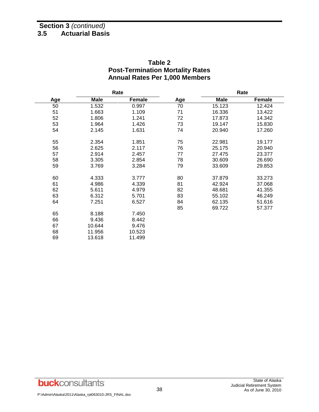#### **Table 2 Post-Termination Mortality Rates Annual Rates Per 1,000 Members**

|     | Rate        |        |     | Rate   |               |
|-----|-------------|--------|-----|--------|---------------|
| Age | <b>Male</b> | Female | Age | Male   | <b>Female</b> |
| 50  | 1.532       | 0.997  | 70  | 15.123 | 12.424        |
| 51  | 1.663       | 1.109  | 71  | 16.336 | 13.422        |
| 52  | 1.806       | 1.241  | 72  | 17.873 | 14.342        |
| 53  | 1.964       | 1.426  | 73  | 19.147 | 15.830        |
| 54  | 2.145       | 1.631  | 74  | 20.940 | 17.260        |
| 55  | 2.354       | 1.851  | 75  | 22.981 | 19.177        |
| 56  | 2.625       | 2.117  | 76  | 25.175 | 20.940        |
| 57  | 2.914       | 2.457  | 77  | 27.475 | 23.377        |
| 58  | 3.305       | 2.854  | 78  | 30.609 | 26.690        |
| 59  | 3.769       | 3.284  | 79  | 33.609 | 29.853        |
| 60  | 4.333       | 3.777  | 80  | 37.879 | 33.273        |
| 61  | 4.986       | 4.339  | 81  | 42.924 | 37.068        |
| 62  | 5.611       | 4.979  | 82  | 48.681 | 41.355        |
| 63  | 6.312       | 5.701  | 83  | 55.102 | 46.249        |
| 64  | 7.251       | 6.527  | 84  | 62.135 | 51.616        |
|     |             |        | 85  | 69.722 | 57.377        |
| 65  | 8.188       | 7.450  |     |        |               |
| 66  | 9.436       | 8.442  |     |        |               |
| 67  | 10.644      | 9.476  |     |        |               |
| 68  | 11.956      | 10.523 |     |        |               |
| 69  | 13.618      | 11.499 |     |        |               |